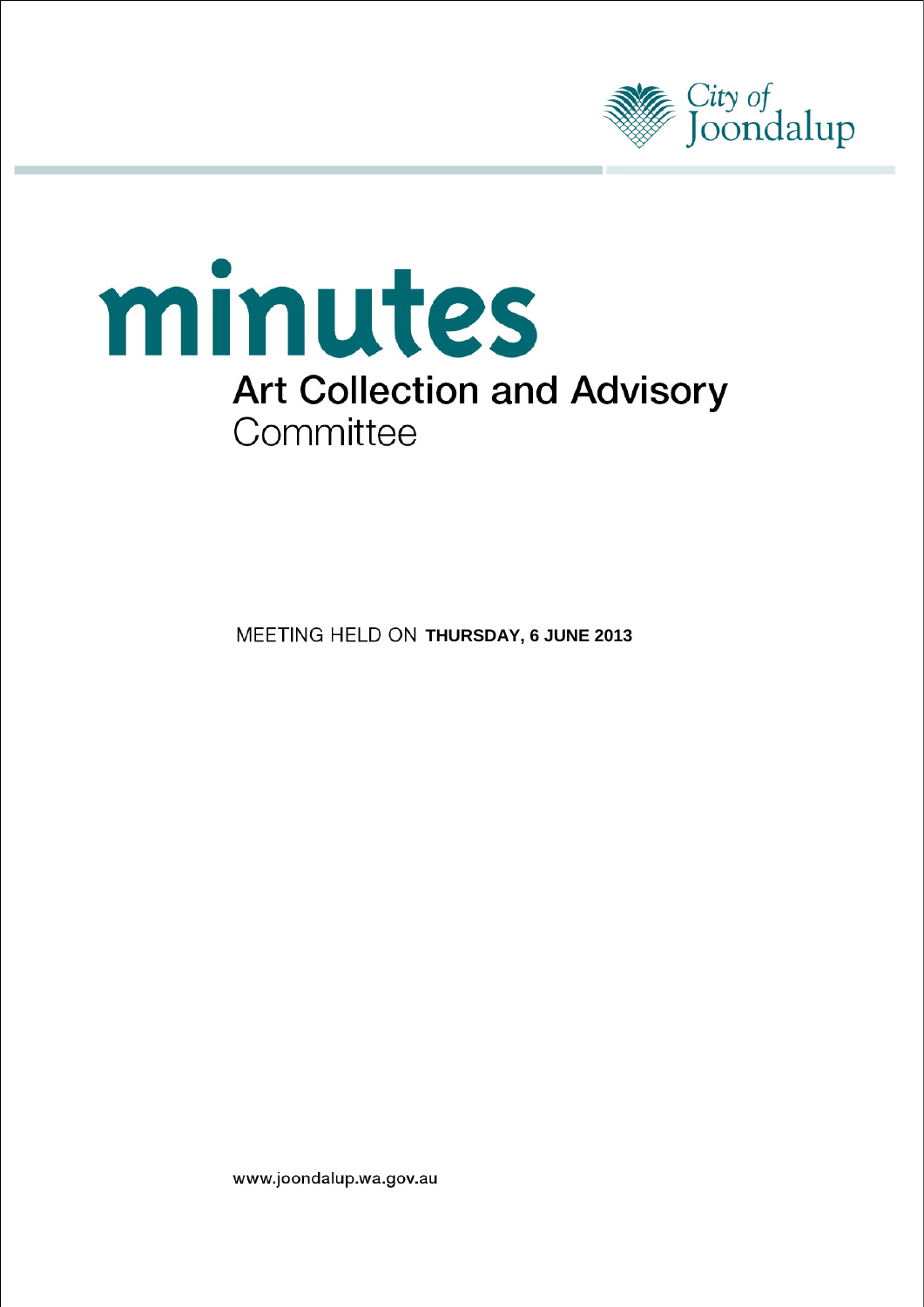



**MEETING HELD ON THURSDAY, 6 JUNE 2013** 

www.joondalup.wa.gov.au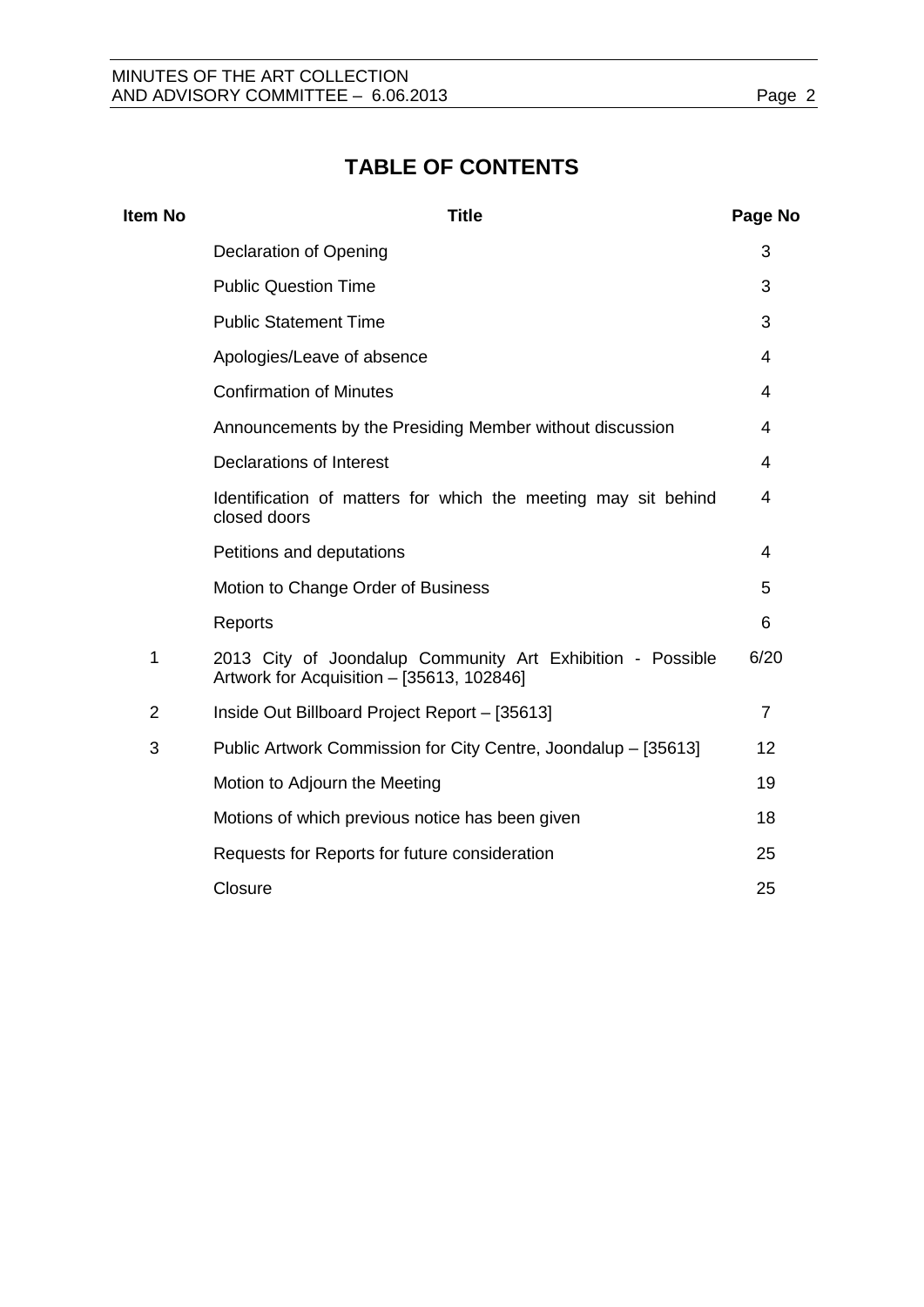# **TABLE OF CONTENTS**

| Item No        | <b>Title</b>                                                                                            | Page No        |
|----------------|---------------------------------------------------------------------------------------------------------|----------------|
|                | <b>Declaration of Opening</b>                                                                           | 3              |
|                | <b>Public Question Time</b>                                                                             | 3              |
|                | <b>Public Statement Time</b>                                                                            | 3              |
|                | Apologies/Leave of absence                                                                              | 4              |
|                | <b>Confirmation of Minutes</b>                                                                          | 4              |
|                | Announcements by the Presiding Member without discussion                                                | 4              |
|                | Declarations of Interest                                                                                | 4              |
|                | Identification of matters for which the meeting may sit behind<br>closed doors                          | 4              |
|                | Petitions and deputations                                                                               | 4              |
|                | Motion to Change Order of Business                                                                      | 5              |
|                | Reports                                                                                                 | 6              |
| 1              | 2013 City of Joondalup Community Art Exhibition - Possible<br>Artwork for Acquisition - [35613, 102846] | 6/20           |
| $\overline{2}$ | Inside Out Billboard Project Report - [35613]                                                           | $\overline{7}$ |
| 3              | Public Artwork Commission for City Centre, Joondalup - [35613]                                          | 12             |
|                | Motion to Adjourn the Meeting                                                                           | 19             |
|                | Motions of which previous notice has been given                                                         | 18             |
|                | Requests for Reports for future consideration                                                           | 25             |
|                | Closure                                                                                                 | 25             |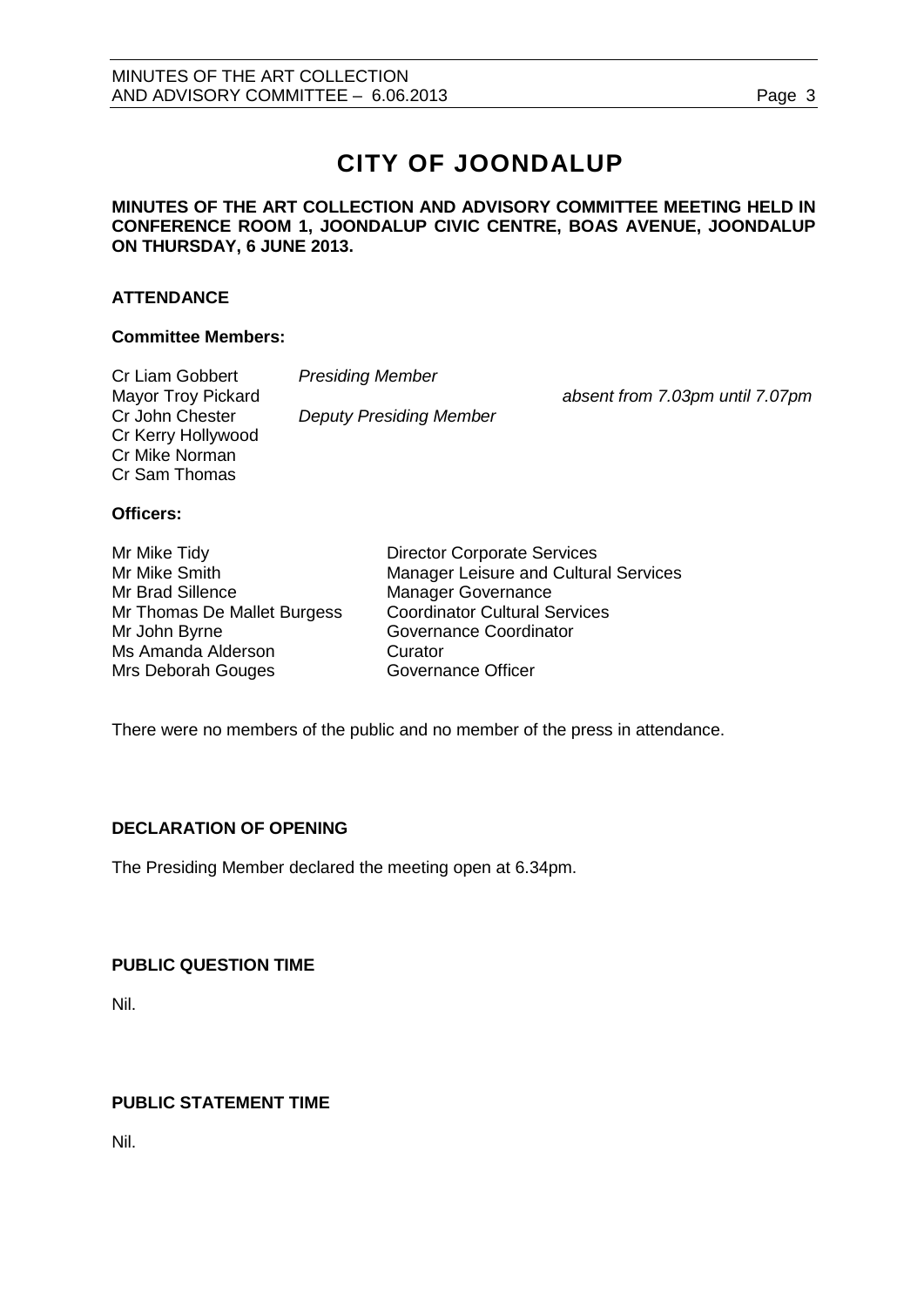# **CITY OF JOONDALUP**

### **MINUTES OF THE ART COLLECTION AND ADVISORY COMMITTEE MEETING HELD IN CONFERENCE ROOM 1, JOONDALUP CIVIC CENTRE, BOAS AVENUE, JOONDALUP ON THURSDAY, 6 JUNE 2013.**

## **ATTENDANCE**

#### **Committee Members:**

| Cr Liam Gobbert           | <b>Presiding Member</b>        |                                 |
|---------------------------|--------------------------------|---------------------------------|
| <b>Mayor Troy Pickard</b> |                                | absent from 7.03pm until 7.07pm |
| Cr John Chester           | <b>Deputy Presiding Member</b> |                                 |
| Cr Kerry Hollywood        |                                |                                 |
| Cr Mike Norman            |                                |                                 |
| Cr Sam Thomas             |                                |                                 |
|                           |                                |                                 |

#### **Officers:**

| Mr Mike Tidy                | <b>Director Corporate Services</b>    |
|-----------------------------|---------------------------------------|
| Mr Mike Smith               | Manager Leisure and Cultural Services |
| Mr Brad Sillence            | <b>Manager Governance</b>             |
| Mr Thomas De Mallet Burgess | <b>Coordinator Cultural Services</b>  |
| Mr John Byrne               | Governance Coordinator                |
| Ms Amanda Alderson          | Curator                               |
| Mrs Deborah Gouges          | <b>Governance Officer</b>             |

There were no members of the public and no member of the press in attendance.

#### <span id="page-2-0"></span>**DECLARATION OF OPENING**

The Presiding Member declared the meeting open at 6.34pm.

#### <span id="page-2-1"></span>**PUBLIC QUESTION TIME**

Nil.

# <span id="page-2-2"></span>**PUBLIC STATEMENT TIME**

<span id="page-2-3"></span>Nil.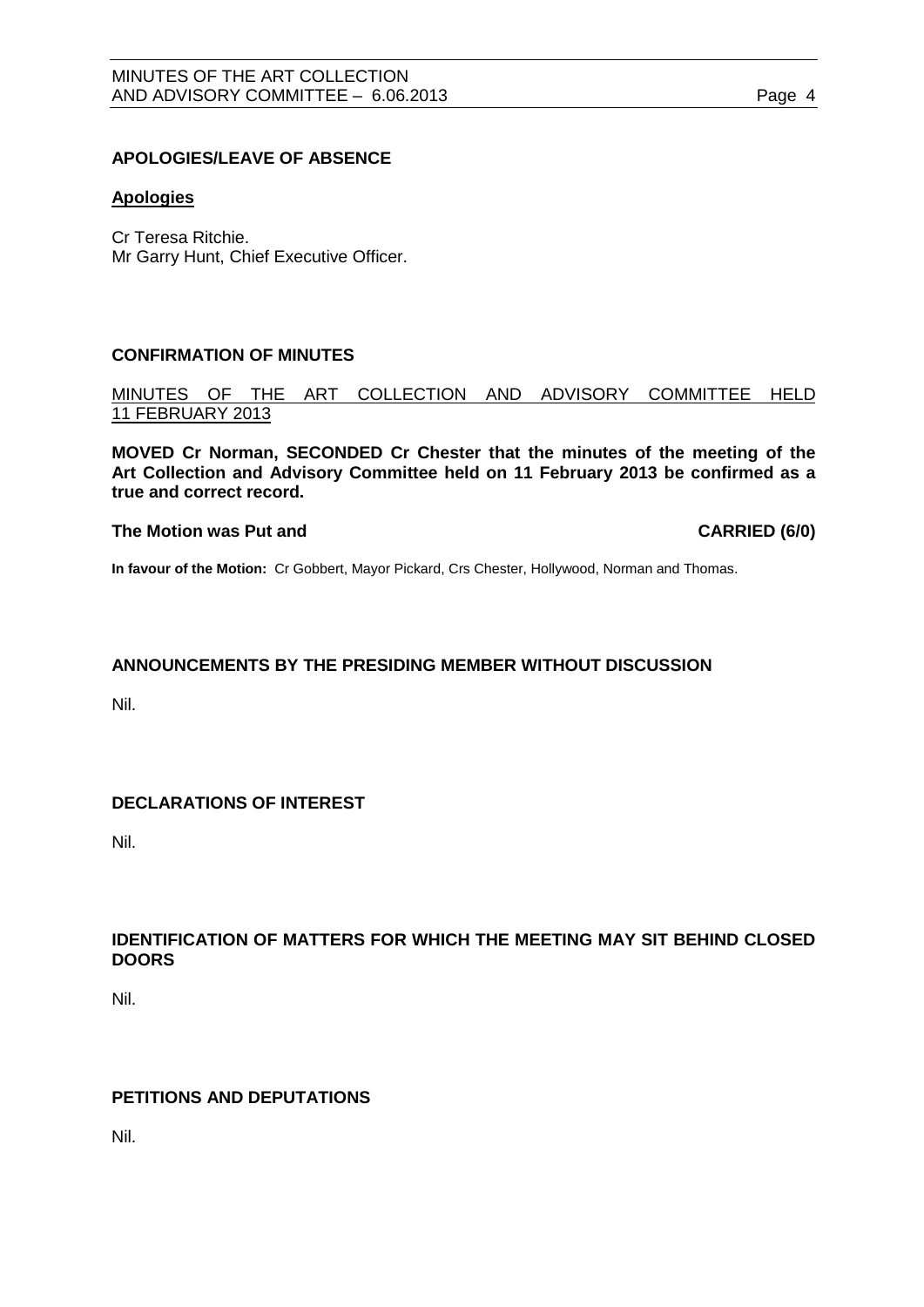#### **APOLOGIES/LEAVE OF ABSENCE**

#### **Apologies**

Cr Teresa Ritchie. Mr Garry Hunt, Chief Executive Officer.

#### <span id="page-3-0"></span>**CONFIRMATION OF MINUTES**

MINUTES OF THE ART COLLECTION AND ADVISORY COMMITTEE HELD 11 FEBRUARY 2013

**MOVED Cr Norman, SECONDED Cr Chester that the minutes of the meeting of the Art Collection and Advisory Committee held on 11 February 2013 be confirmed as a true and correct record.**

#### **The Motion was Put and CARRIED (6/0)**

**In favour of the Motion:** Cr Gobbert, Mayor Pickard, Crs Chester, Hollywood, Norman and Thomas.

# <span id="page-3-1"></span>**ANNOUNCEMENTS BY THE PRESIDING MEMBER WITHOUT DISCUSSION**

Nil.

# <span id="page-3-2"></span>**DECLARATIONS OF INTEREST**

Nil.

# <span id="page-3-3"></span>**IDENTIFICATION OF MATTERS FOR WHICH THE MEETING MAY SIT BEHIND CLOSED DOORS**

Nil.

# <span id="page-3-4"></span>**PETITIONS AND DEPUTATIONS**

Nil.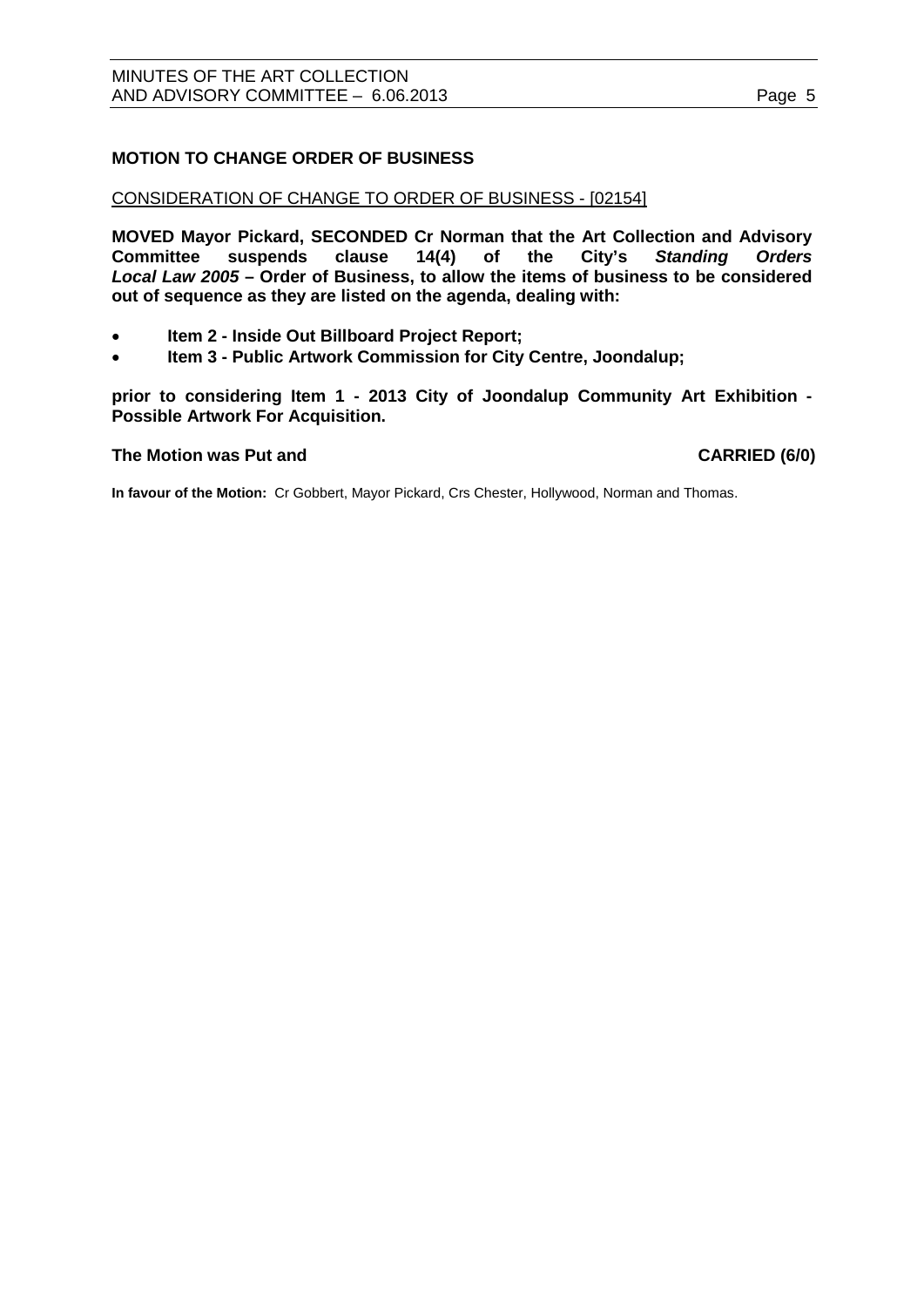# <span id="page-4-0"></span>**MOTION TO CHANGE ORDER OF BUSINESS**

#### CONSIDERATION OF CHANGE TO ORDER OF BUSINESS - [02154]

**MOVED Mayor Pickard, SECONDED Cr Norman that the Art Collection and Advisory Committee suspends clause 14(4) of the City's** *Standing Orders Local Law 2005* **– Order of Business, to allow the items of business to be considered out of sequence as they are listed on the agenda, dealing with:**

- **Item 2 - Inside Out Billboard Project Report;**
- **Item 3 - Public Artwork Commission for City Centre, Joondalup;**

**prior to considering Item 1 - 2013 City of Joondalup Community Art Exhibition - Possible Artwork For Acquisition.**

#### **The Motion was Put and CARRIED (6/0)**

**In favour of the Motion:** Cr Gobbert, Mayor Pickard, Crs Chester, Hollywood, Norman and Thomas.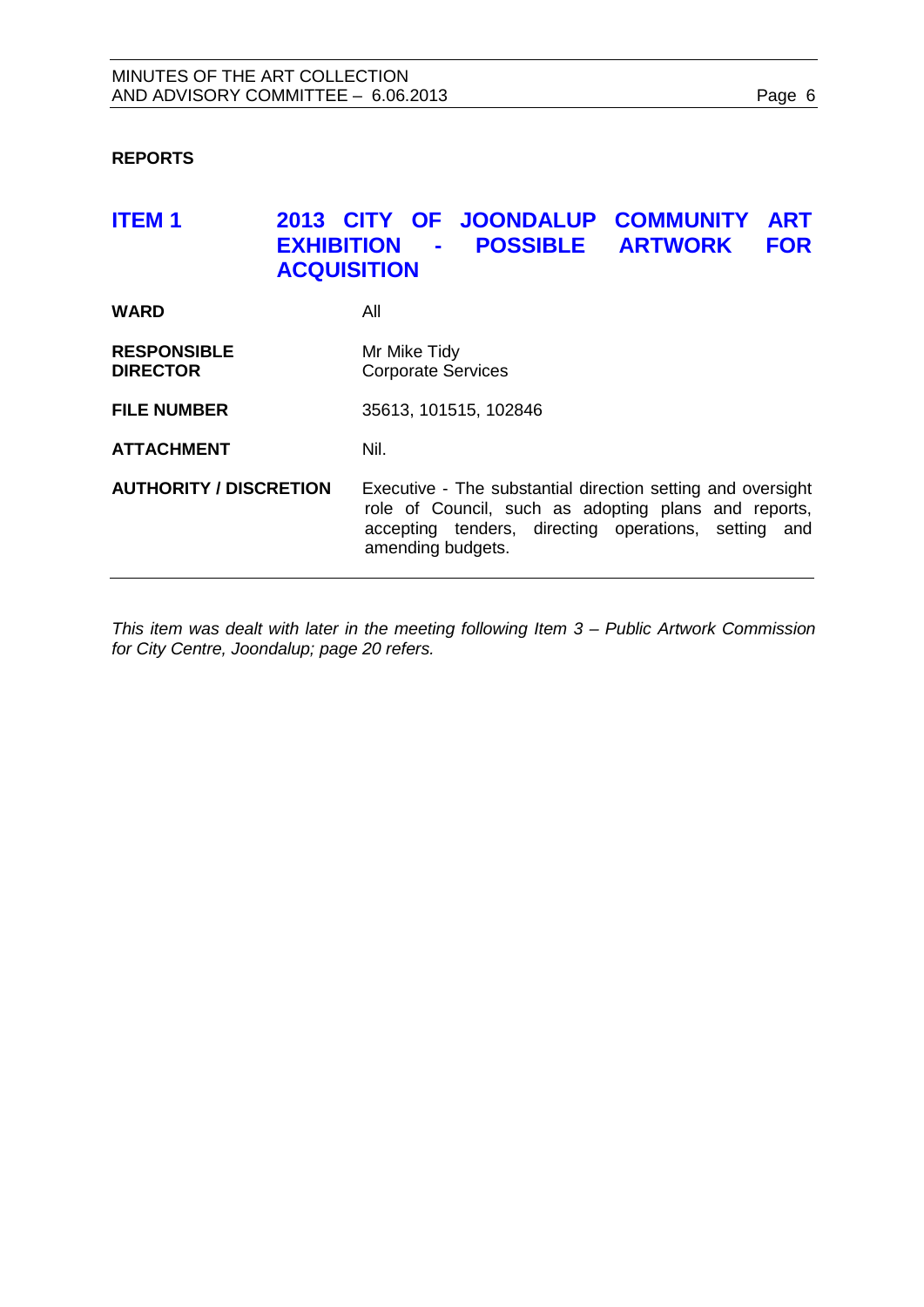# <span id="page-5-0"></span>**REPORTS**

# <span id="page-5-1"></span>**ITEM 1 2013 CITY OF JOONDALUP COMMUNITY ART EXHIBITION - POSSIBLE ARTWORK FOR ACQUISITION**

| <b>WARD</b>                           | All                                                                                                                                                                                              |
|---------------------------------------|--------------------------------------------------------------------------------------------------------------------------------------------------------------------------------------------------|
| <b>RESPONSIBLE</b><br><b>DIRECTOR</b> | Mr Mike Tidy<br><b>Corporate Services</b>                                                                                                                                                        |
| <b>FILE NUMBER</b>                    | 35613, 101515, 102846                                                                                                                                                                            |
| <b>ATTACHMENT</b>                     | Nil.                                                                                                                                                                                             |
| <b>AUTHORITY / DISCRETION</b>         | Executive - The substantial direction setting and oversight<br>role of Council, such as adopting plans and reports,<br>accepting tenders, directing operations, setting and<br>amending budgets. |

*This item was dealt with later in the meeting following Item 3 – Public Artwork Commission for City Centre, Joondalup; page [20](#page-19-0) refers.*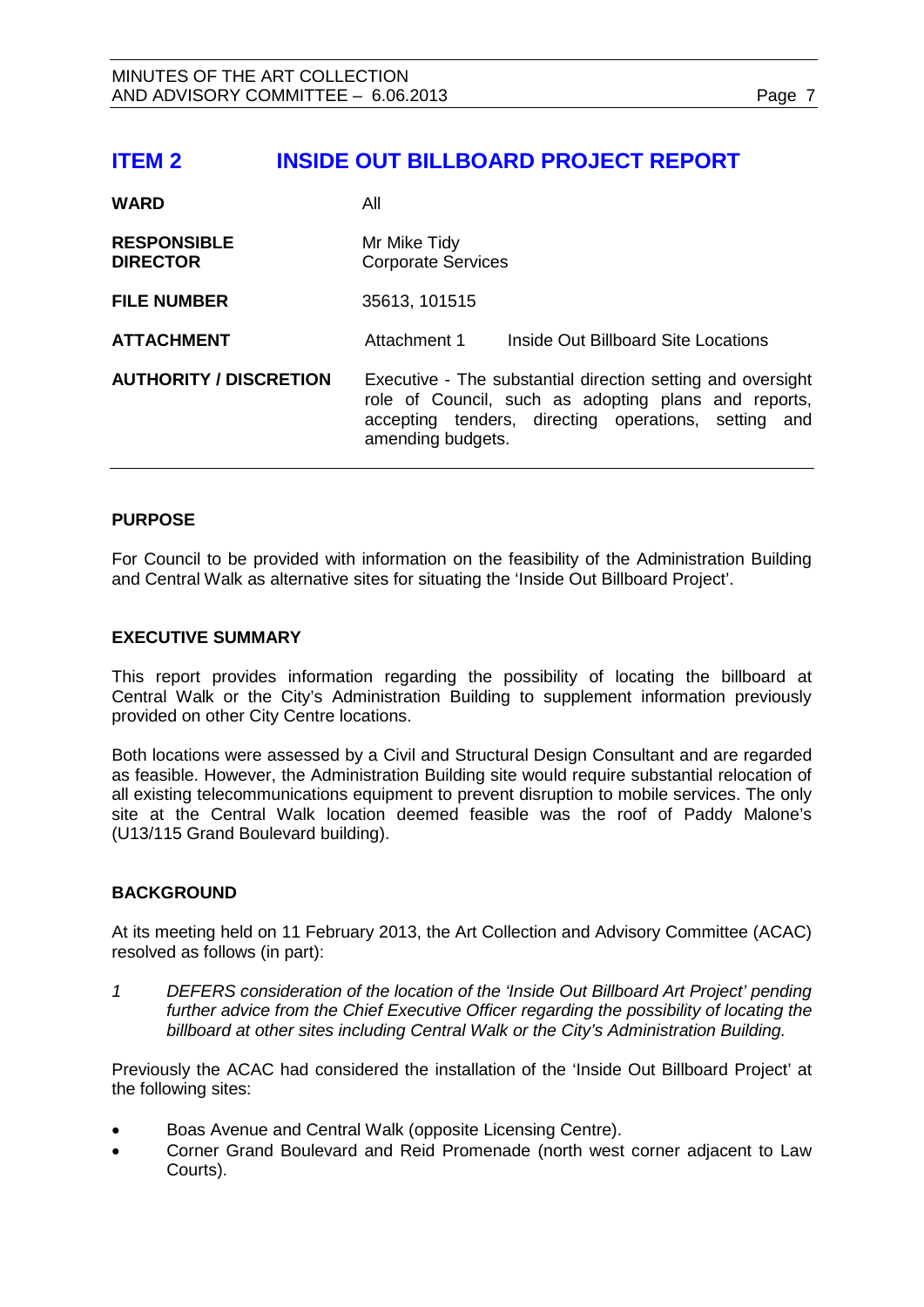# <span id="page-6-0"></span>**ITEM 2 INSIDE OUT BILLBOARD PROJECT REPORT**

| <b>WARD</b>                           | All                                                                                                                                                                                              |
|---------------------------------------|--------------------------------------------------------------------------------------------------------------------------------------------------------------------------------------------------|
| <b>RESPONSIBLE</b><br><b>DIRECTOR</b> | Mr Mike Tidy<br><b>Corporate Services</b>                                                                                                                                                        |
| <b>FILE NUMBER</b>                    | 35613, 101515                                                                                                                                                                                    |
| <b>ATTACHMENT</b>                     | Attachment 1<br>Inside Out Billboard Site Locations                                                                                                                                              |
| <b>AUTHORITY / DISCRETION</b>         | Executive - The substantial direction setting and oversight<br>role of Council, such as adopting plans and reports,<br>accepting tenders, directing operations, setting and<br>amending budgets. |

#### **PURPOSE**

For Council to be provided with information on the feasibility of the Administration Building and Central Walk as alternative sites for situating the 'Inside Out Billboard Project'.

#### **EXECUTIVE SUMMARY**

This report provides information regarding the possibility of locating the billboard at Central Walk or the City's Administration Building to supplement information previously provided on other City Centre locations.

Both locations were assessed by a Civil and Structural Design Consultant and are regarded as feasible. However, the Administration Building site would require substantial relocation of all existing telecommunications equipment to prevent disruption to mobile services. The only site at the Central Walk location deemed feasible was the roof of Paddy Malone's (U13/115 Grand Boulevard building).

#### **BACKGROUND**

At its meeting held on 11 February 2013, the Art Collection and Advisory Committee (ACAC) resolved as follows (in part):

*1 DEFERS consideration of the location of the 'Inside Out Billboard Art Project' pending further advice from the Chief Executive Officer regarding the possibility of locating the billboard at other sites including Central Walk or the City's Administration Building.*

Previously the ACAC had considered the installation of the 'Inside Out Billboard Project' at the following sites:

- Boas Avenue and Central Walk (opposite Licensing Centre).
- Corner Grand Boulevard and Reid Promenade (north west corner adjacent to Law Courts).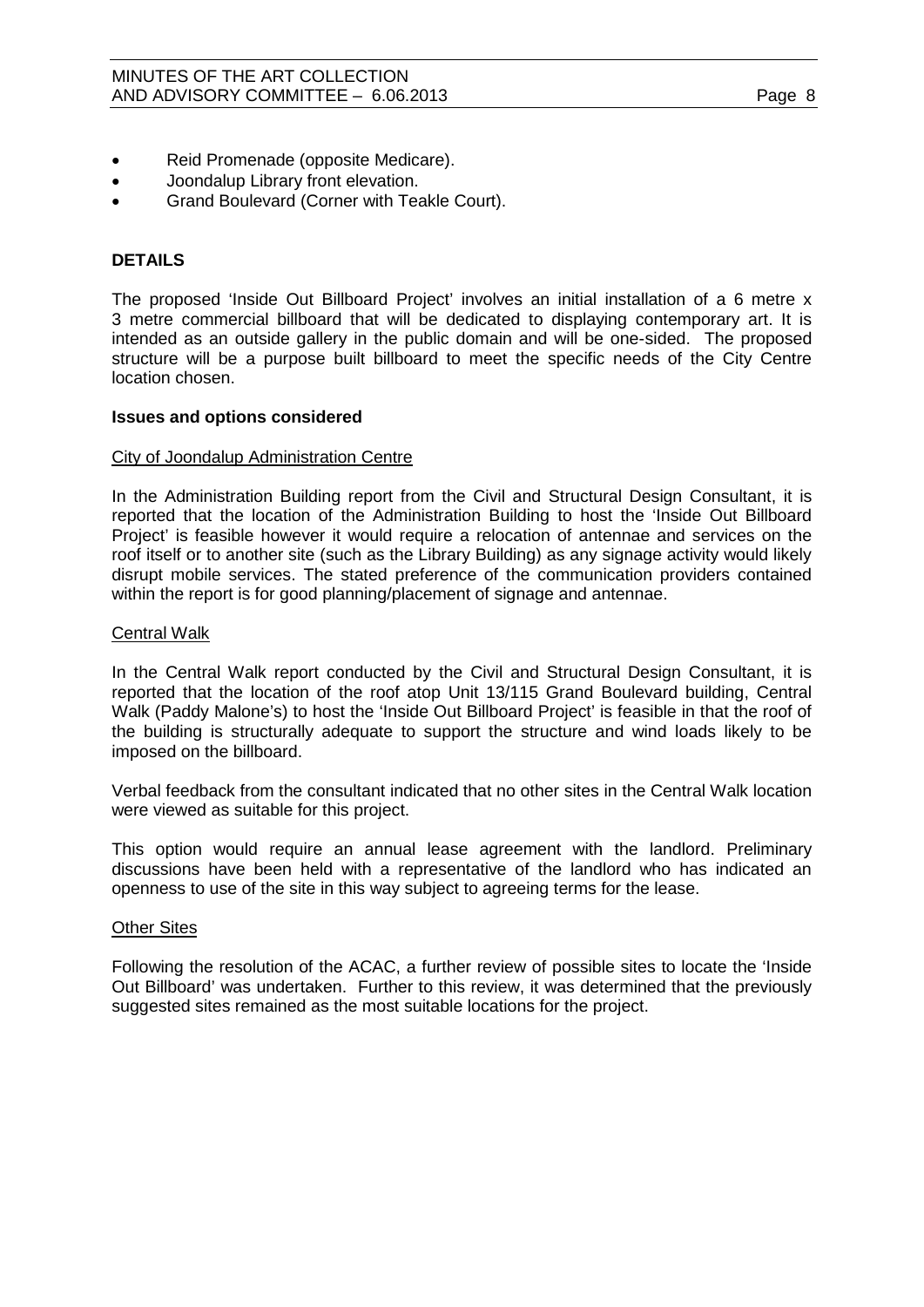- Reid Promenade (opposite Medicare).
- Joondalup Library front elevation.
- Grand Boulevard (Corner with Teakle Court).

# **DETAILS**

The proposed 'Inside Out Billboard Project' involves an initial installation of a 6 metre x 3 metre commercial billboard that will be dedicated to displaying contemporary art. It is intended as an outside gallery in the public domain and will be one-sided. The proposed structure will be a purpose built billboard to meet the specific needs of the City Centre location chosen.

#### **Issues and options considered**

#### City of Joondalup Administration Centre

In the Administration Building report from the Civil and Structural Design Consultant, it is reported that the location of the Administration Building to host the 'Inside Out Billboard Project' is feasible however it would require a relocation of antennae and services on the roof itself or to another site (such as the Library Building) as any signage activity would likely disrupt mobile services. The stated preference of the communication providers contained within the report is for good planning/placement of signage and antennae.

# Central Walk

In the Central Walk report conducted by the Civil and Structural Design Consultant, it is reported that the location of the roof atop Unit 13/115 Grand Boulevard building, Central Walk (Paddy Malone's) to host the 'Inside Out Billboard Project' is feasible in that the roof of the building is structurally adequate to support the structure and wind loads likely to be imposed on the billboard.

Verbal feedback from the consultant indicated that no other sites in the Central Walk location were viewed as suitable for this project.

This option would require an annual lease agreement with the landlord. Preliminary discussions have been held with a representative of the landlord who has indicated an openness to use of the site in this way subject to agreeing terms for the lease.

#### Other Sites

Following the resolution of the ACAC, a further review of possible sites to locate the 'Inside Out Billboard' was undertaken. Further to this review, it was determined that the previously suggested sites remained as the most suitable locations for the project.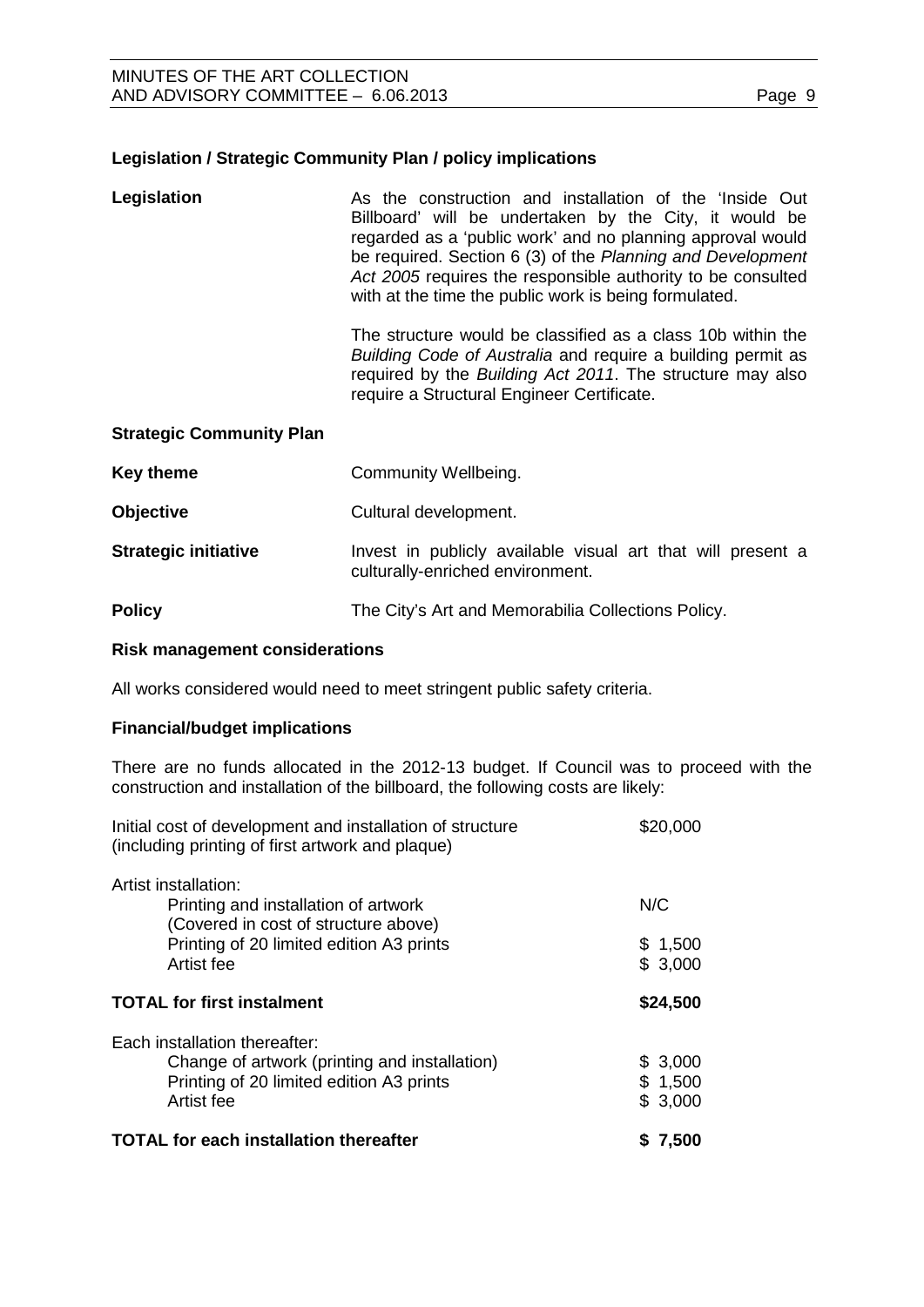### **Legislation / Strategic Community Plan / policy implications**

| Legislation | As the construction and installation of the 'Inside Out<br>Billboard' will be undertaken by the City, it would be<br>regarded as a 'public work' and no planning approval would<br>be required. Section 6 (3) of the Planning and Development<br>Act 2005 requires the responsible authority to be consulted<br>with at the time the public work is being formulated. |
|-------------|-----------------------------------------------------------------------------------------------------------------------------------------------------------------------------------------------------------------------------------------------------------------------------------------------------------------------------------------------------------------------|
|             |                                                                                                                                                                                                                                                                                                                                                                       |

The structure would be classified as a class 10b within the *Building Code of Australia* and require a building permit as required by the *Building Act 2011*. The structure may also require a Structural Engineer Certificate.

#### **Strategic Community Plan**

| Key theme                   | Community Wellbeing.                                                                            |
|-----------------------------|-------------------------------------------------------------------------------------------------|
| <b>Objective</b>            | Cultural development.                                                                           |
| <b>Strategic initiative</b> | Invest in publicly available visual art that will present a<br>culturally-enriched environment. |
| <b>Policy</b>               | The City's Art and Memorabilia Collections Policy.                                              |

#### **Risk management considerations**

All works considered would need to meet stringent public safety criteria.

#### **Financial/budget implications**

There are no funds allocated in the 2012-13 budget. If Council was to proceed with the construction and installation of the billboard, the following costs are likely:

| Initial cost of development and installation of structure<br>(including printing of first artwork and plaque)                            | \$20,000                      |
|------------------------------------------------------------------------------------------------------------------------------------------|-------------------------------|
| Artist installation:<br>Printing and installation of artwork<br>(Covered in cost of structure above)                                     | N/C                           |
| Printing of 20 limited edition A3 prints<br>Artist fee                                                                                   | \$1,500<br>\$3,000            |
| <b>TOTAL for first instalment</b>                                                                                                        | \$24,500                      |
| Each installation thereafter:<br>Change of artwork (printing and installation)<br>Printing of 20 limited edition A3 prints<br>Artist fee | \$3,000<br>\$1,500<br>\$3,000 |
| <b>TOTAL for each installation thereafter</b>                                                                                            | \$ 7,500                      |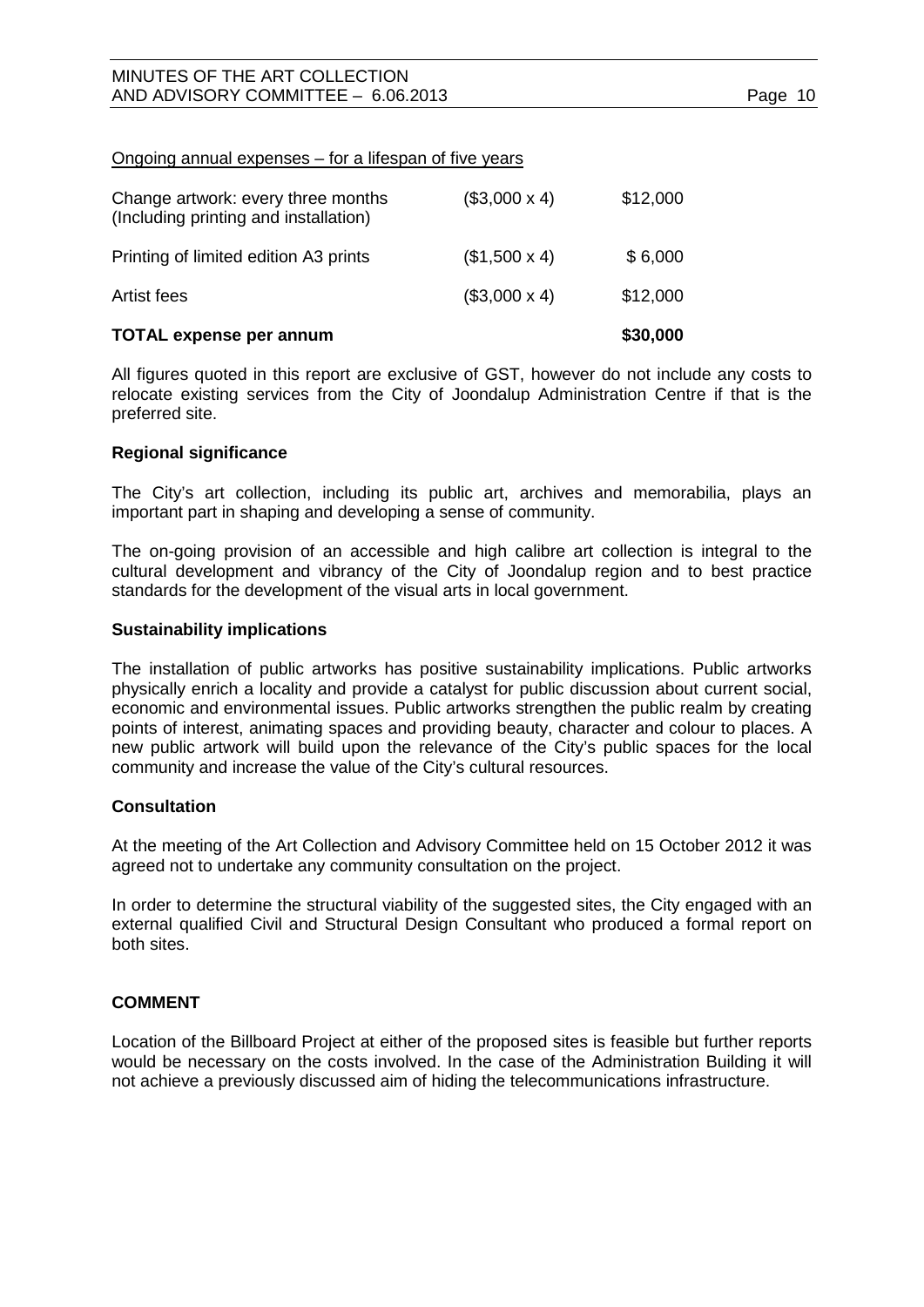#### Ongoing annual expenses – for a lifespan of five years

| <b>TOTAL expense per annum</b>                                              |                     | \$30,000 |
|-----------------------------------------------------------------------------|---------------------|----------|
| Artist fees                                                                 | $($3,000 \times 4)$ | \$12,000 |
| Printing of limited edition A3 prints                                       | $($1,500 \times 4)$ | \$6,000  |
| Change artwork: every three months<br>(Including printing and installation) | $($3,000 \times 4)$ | \$12,000 |

All figures quoted in this report are exclusive of GST, however do not include any costs to relocate existing services from the City of Joondalup Administration Centre if that is the preferred site.

#### **Regional significance**

The City's art collection, including its public art, archives and memorabilia, plays an important part in shaping and developing a sense of community.

The on-going provision of an accessible and high calibre art collection is integral to the cultural development and vibrancy of the City of Joondalup region and to best practice standards for the development of the visual arts in local government.

#### **Sustainability implications**

The installation of public artworks has positive sustainability implications. Public artworks physically enrich a locality and provide a catalyst for public discussion about current social, economic and environmental issues. Public artworks strengthen the public realm by creating points of interest, animating spaces and providing beauty, character and colour to places. A new public artwork will build upon the relevance of the City's public spaces for the local community and increase the value of the City's cultural resources.

#### **Consultation**

At the meeting of the Art Collection and Advisory Committee held on 15 October 2012 it was agreed not to undertake any community consultation on the project.

In order to determine the structural viability of the suggested sites, the City engaged with an external qualified Civil and Structural Design Consultant who produced a formal report on both sites.

#### **COMMENT**

Location of the Billboard Project at either of the proposed sites is feasible but further reports would be necessary on the costs involved. In the case of the Administration Building it will not achieve a previously discussed aim of hiding the telecommunications infrastructure.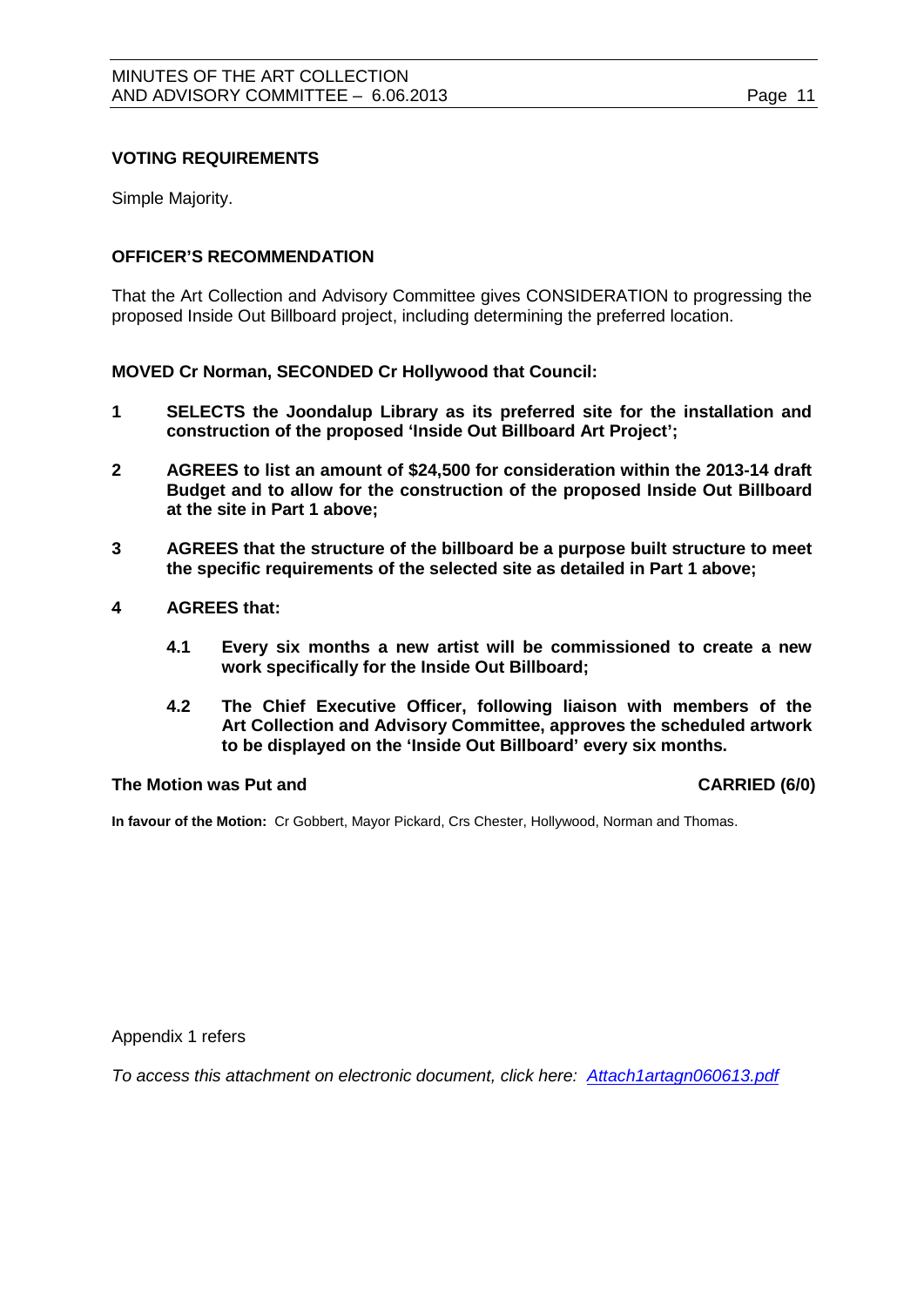## **VOTING REQUIREMENTS**

Simple Majority.

## **OFFICER'S RECOMMENDATION**

That the Art Collection and Advisory Committee gives CONSIDERATION to progressing the proposed Inside Out Billboard project, including determining the preferred location.

**MOVED Cr Norman, SECONDED Cr Hollywood that Council:**

- **1 SELECTS the Joondalup Library as its preferred site for the installation and construction of the proposed 'Inside Out Billboard Art Project';**
- **2 AGREES to list an amount of \$24,500 for consideration within the 2013-14 draft Budget and to allow for the construction of the proposed Inside Out Billboard at the site in Part 1 above;**
- **3 AGREES that the structure of the billboard be a purpose built structure to meet the specific requirements of the selected site as detailed in Part 1 above;**
- **4 AGREES that:**
	- **4.1 Every six months a new artist will be commissioned to create a new work specifically for the Inside Out Billboard;**
	- **4.2 The Chief Executive Officer, following liaison with members of the Art Collection and Advisory Committee, approves the scheduled artwork to be displayed on the 'Inside Out Billboard' every six months.**

#### **The Motion was Put and CARRIED (6/0)**

**In favour of the Motion:** Cr Gobbert, Mayor Pickard, Crs Chester, Hollywood, Norman and Thomas.

Appendix 1 refers

*To access this attachment on electronic document, click here: [Attach1artagn060613.pdf](http://www.joondalup.wa.gov.au/files/committees/ACAC/2013/Attach1artagn060613.pdf)*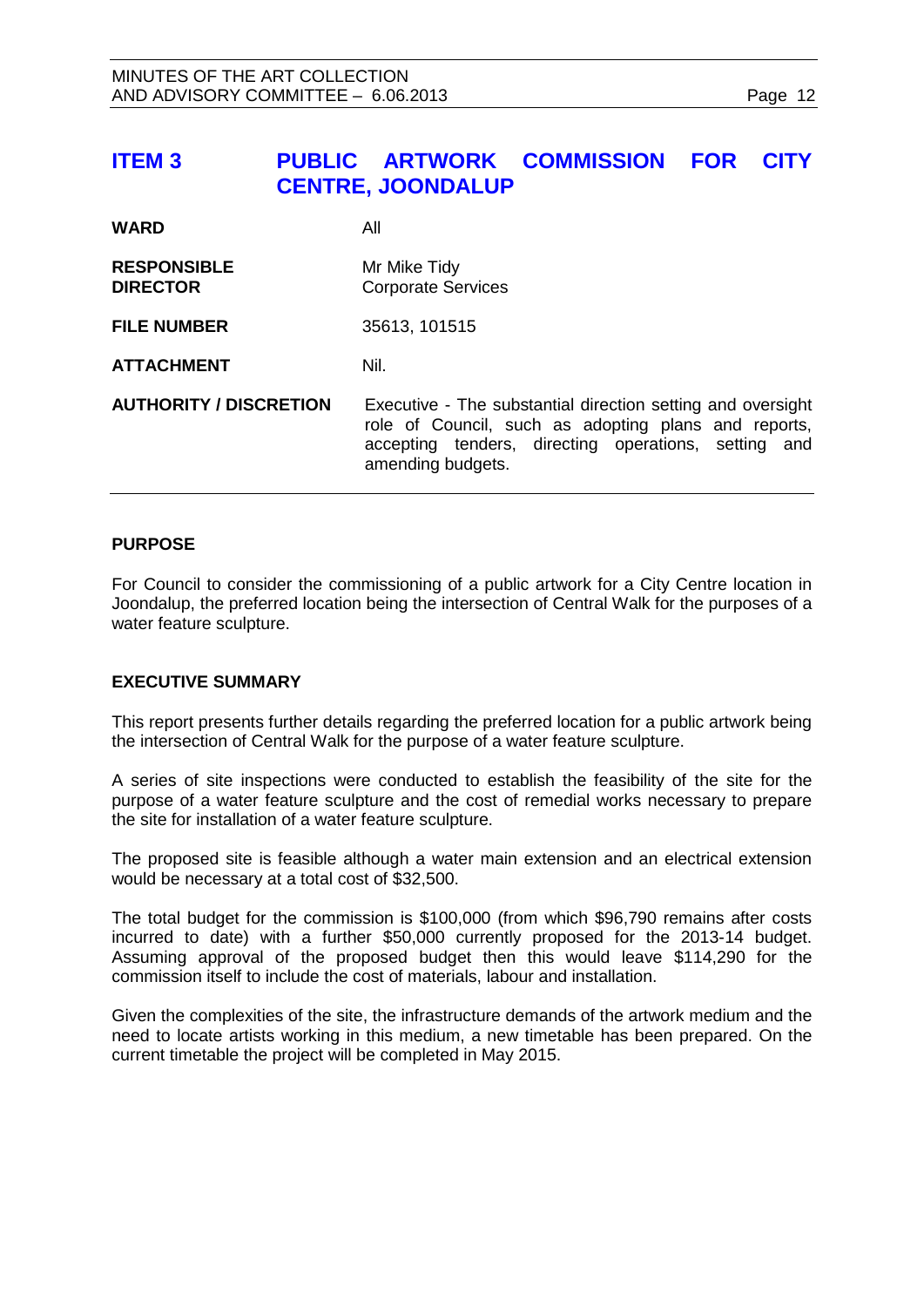<span id="page-11-0"></span>

| <b>ITEM3</b>                          | PUBLIC ARTWORK COMMISSION<br><b>CENTRE, JOONDALUP</b>                                                                                                                                            |  | <b>FOR</b> | <b>CITY</b> |
|---------------------------------------|--------------------------------------------------------------------------------------------------------------------------------------------------------------------------------------------------|--|------------|-------------|
| <b>WARD</b>                           | All                                                                                                                                                                                              |  |            |             |
| <b>RESPONSIBLE</b><br><b>DIRECTOR</b> | Mr Mike Tidy<br><b>Corporate Services</b>                                                                                                                                                        |  |            |             |
| <b>FILE NUMBER</b>                    | 35613, 101515                                                                                                                                                                                    |  |            |             |
| <b>ATTACHMENT</b>                     | Nil.                                                                                                                                                                                             |  |            |             |
| <b>AUTHORITY / DISCRETION</b>         | Executive - The substantial direction setting and oversight<br>role of Council, such as adopting plans and reports,<br>accepting tenders, directing operations, setting and<br>amending budgets. |  |            |             |

#### **PURPOSE**

For Council to consider the commissioning of a public artwork for a City Centre location in Joondalup, the preferred location being the intersection of Central Walk for the purposes of a water feature sculpture.

#### **EXECUTIVE SUMMARY**

This report presents further details regarding the preferred location for a public artwork being the intersection of Central Walk for the purpose of a water feature sculpture.

A series of site inspections were conducted to establish the feasibility of the site for the purpose of a water feature sculpture and the cost of remedial works necessary to prepare the site for installation of a water feature sculpture.

The proposed site is feasible although a water main extension and an electrical extension would be necessary at a total cost of \$32,500.

The total budget for the commission is \$100,000 (from which \$96,790 remains after costs incurred to date) with a further \$50,000 currently proposed for the 2013-14 budget. Assuming approval of the proposed budget then this would leave \$114,290 for the commission itself to include the cost of materials, labour and installation.

Given the complexities of the site, the infrastructure demands of the artwork medium and the need to locate artists working in this medium, a new timetable has been prepared. On the current timetable the project will be completed in May 2015.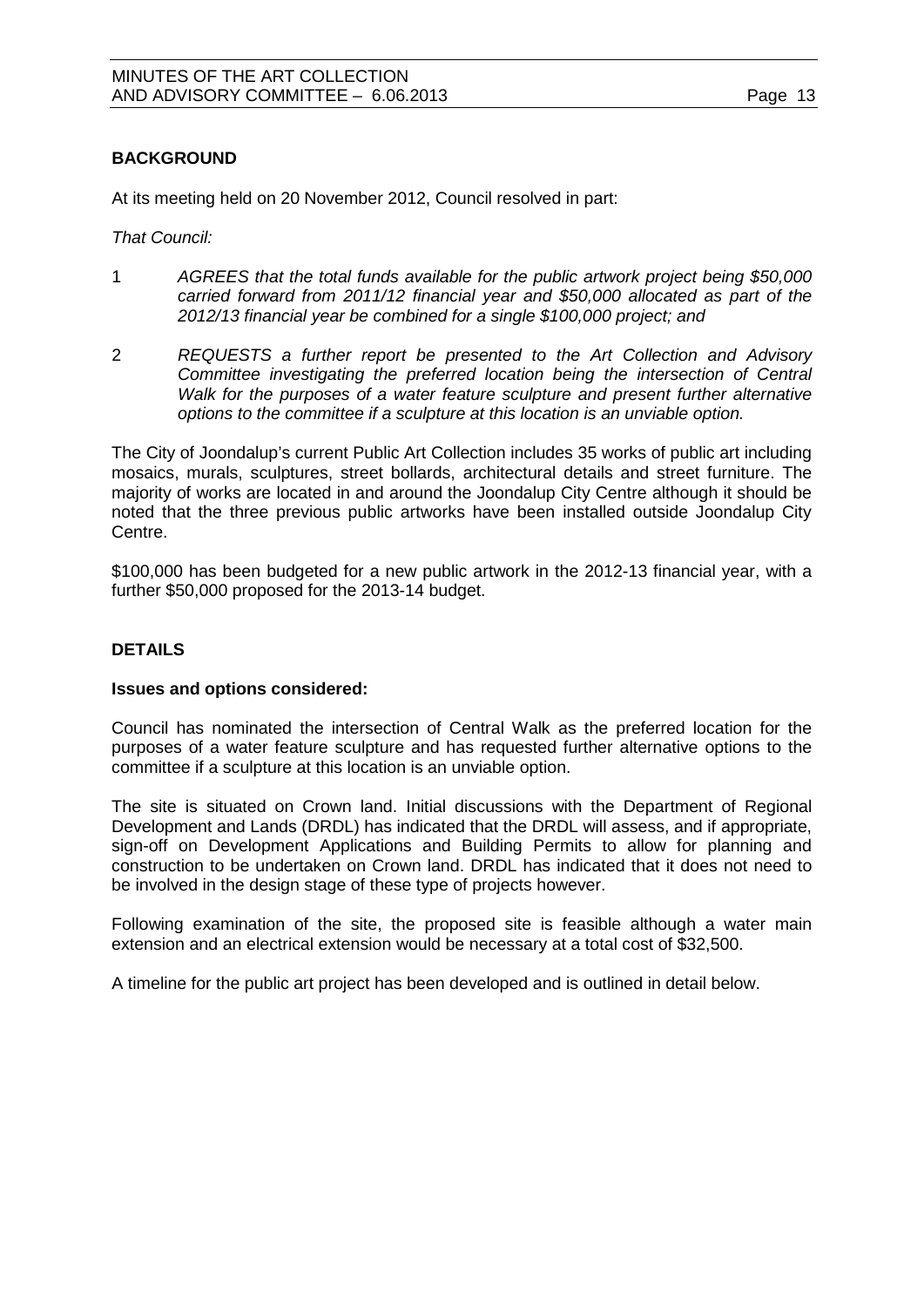# **BACKGROUND**

At its meeting held on 20 November 2012, Council resolved in part:

*That Council:* 

- 1 *AGREES that the total funds available for the public artwork project being \$50,000 carried forward from 2011/12 financial year and \$50,000 allocated as part of the 2012/13 financial year be combined for a single \$100,000 project; and*
- 2 *REQUESTS a further report be presented to the Art Collection and Advisory Committee investigating the preferred location being the intersection of Central Walk for the purposes of a water feature sculpture and present further alternative options to the committee if a sculpture at this location is an unviable option.*

The City of Joondalup's current Public Art Collection includes 35 works of public art including mosaics, murals, sculptures, street bollards, architectural details and street furniture. The majority of works are located in and around the Joondalup City Centre although it should be noted that the three previous public artworks have been installed outside Joondalup City Centre.

\$100,000 has been budgeted for a new public artwork in the 2012-13 financial year, with a further \$50,000 proposed for the 2013-14 budget.

#### **DETAILS**

#### **Issues and options considered:**

Council has nominated the intersection of Central Walk as the preferred location for the purposes of a water feature sculpture and has requested further alternative options to the committee if a sculpture at this location is an unviable option.

The site is situated on Crown land. Initial discussions with the Department of Regional Development and Lands (DRDL) has indicated that the DRDL will assess, and if appropriate, sign-off on Development Applications and Building Permits to allow for planning and construction to be undertaken on Crown land. DRDL has indicated that it does not need to be involved in the design stage of these type of projects however.

Following examination of the site, the proposed site is feasible although a water main extension and an electrical extension would be necessary at a total cost of \$32,500.

A timeline for the public art project has been developed and is outlined in detail below.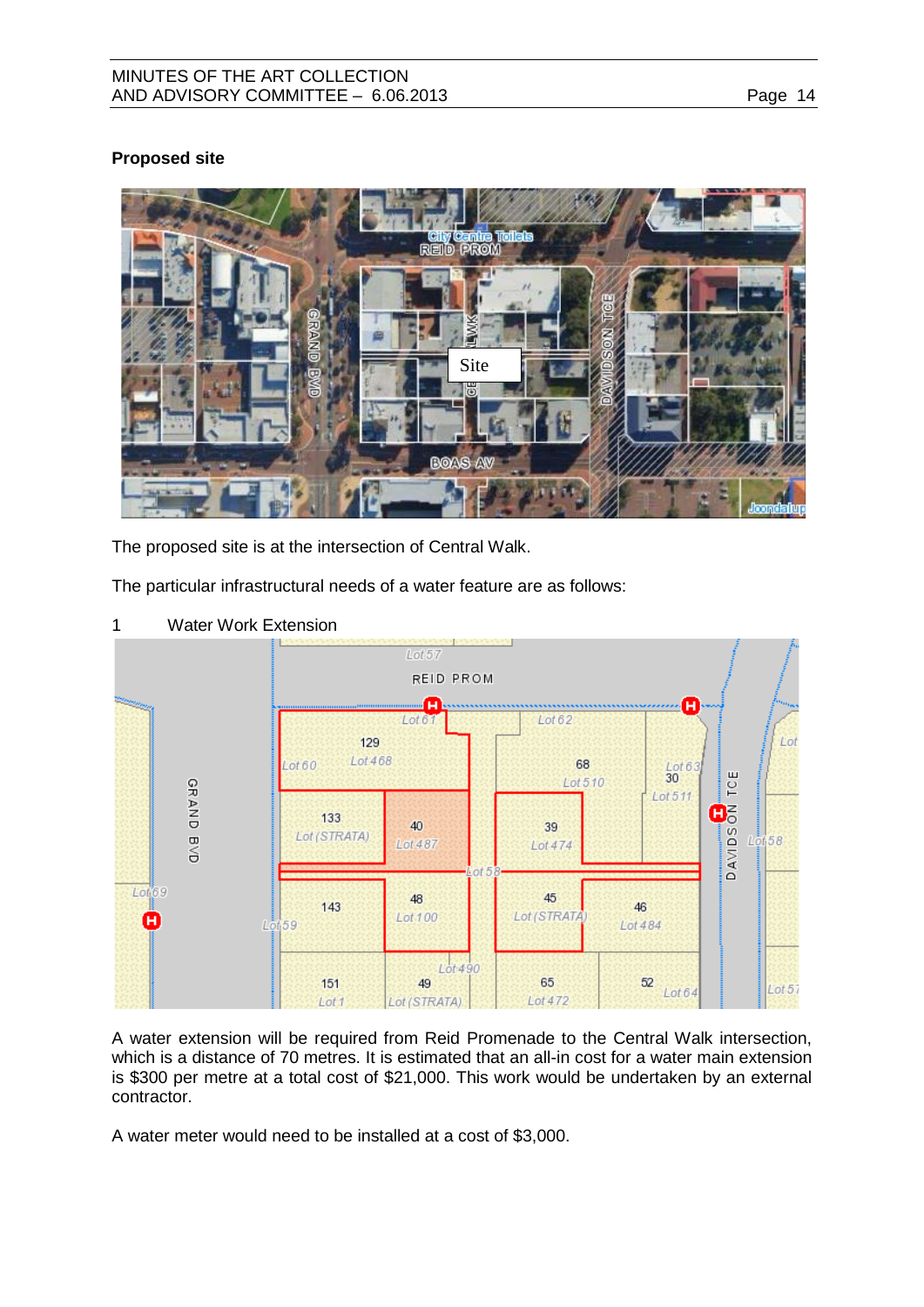#### MINUTES OF THE ART COLLECTION AND ADVISORY COMMITTEE - 6.06.2013

# **Proposed site**



The proposed site is at the intersection of Central Walk.

The particular infrastructural needs of a water feature are as follows:



1 Water Work Extension

A water extension will be required from Reid Promenade to the Central Walk intersection, which is a distance of 70 metres. It is estimated that an all-in cost for a water main extension is \$300 per metre at a total cost of \$21,000. This work would be undertaken by an external contractor.

A water meter would need to be installed at a cost of \$3,000.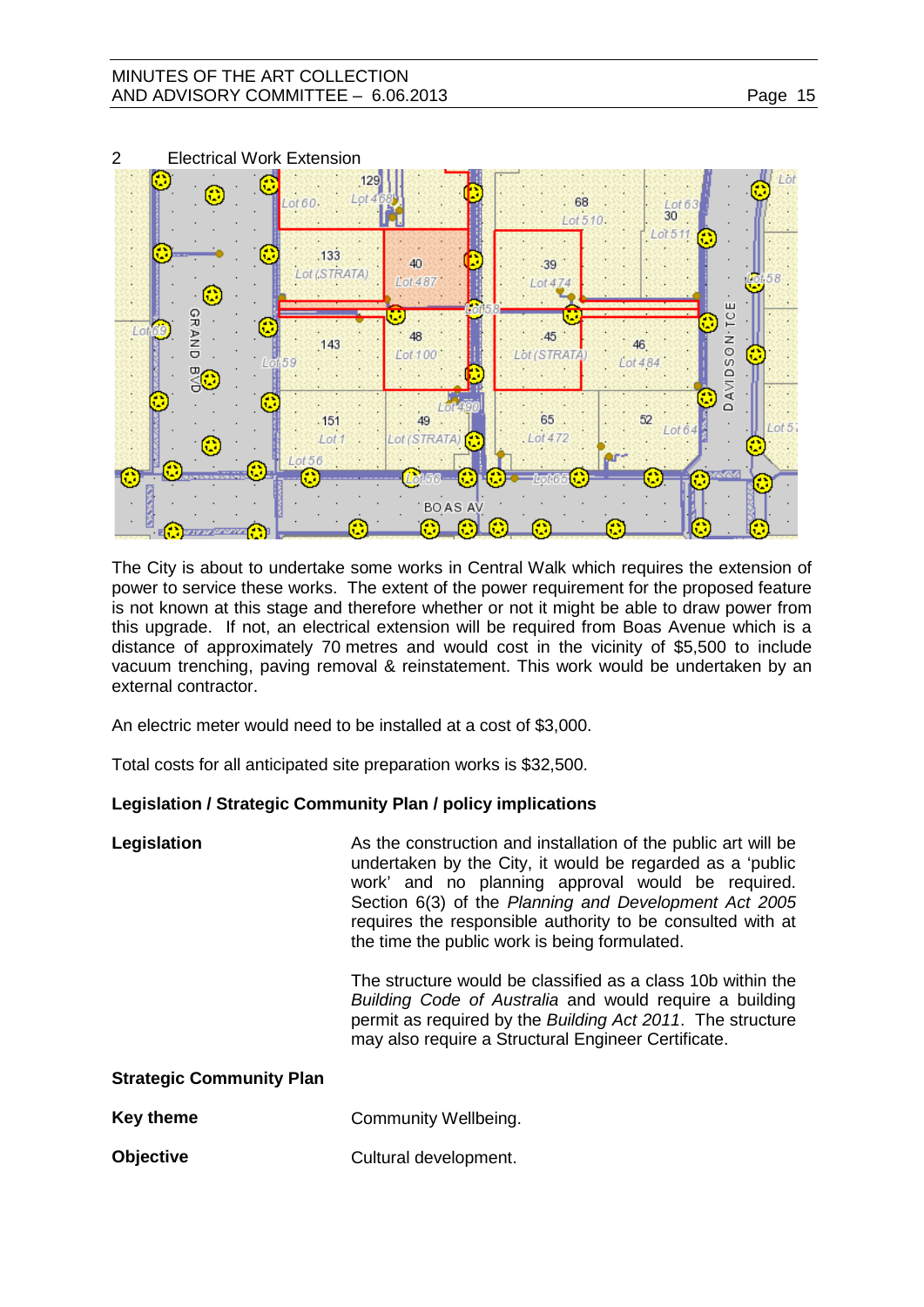## MINUTES OF THE ART COLLECTION AND ADVISORY COMMITTEE - 6.06.2013



The City is about to undertake some works in Central Walk which requires the extension of power to service these works. The extent of the power requirement for the proposed feature is not known at this stage and therefore whether or not it might be able to draw power from this upgrade. If not, an electrical extension will be required from Boas Avenue which is a distance of approximately 70 metres and would cost in the vicinity of \$5,500 to include vacuum trenching, paving removal & reinstatement. This work would be undertaken by an external contractor.

An electric meter would need to be installed at a cost of \$3,000.

Total costs for all anticipated site preparation works is \$32,500.

# **Legislation / Strategic Community Plan / policy implications**

| Legislation | As the construction and installation of the public art will be |
|-------------|----------------------------------------------------------------|
|             | undertaken by the City, it would be regarded as a 'public      |
|             | work' and no planning approval would be required.              |
|             | Section 6(3) of the Planning and Development Act 2005          |
|             | requires the responsible authority to be consulted with at     |
|             | the time the public work is being formulated.                  |

The structure would be classified as a class 10b within the *Building Code of Australia* and would require a building permit as required by the *Building Act 2011*. The structure may also require a Structural Engineer Certificate.

| Key theme        | Community Wellbeing.  |  |
|------------------|-----------------------|--|
| <b>Objective</b> | Cultural development. |  |

**Strategic Community Plan**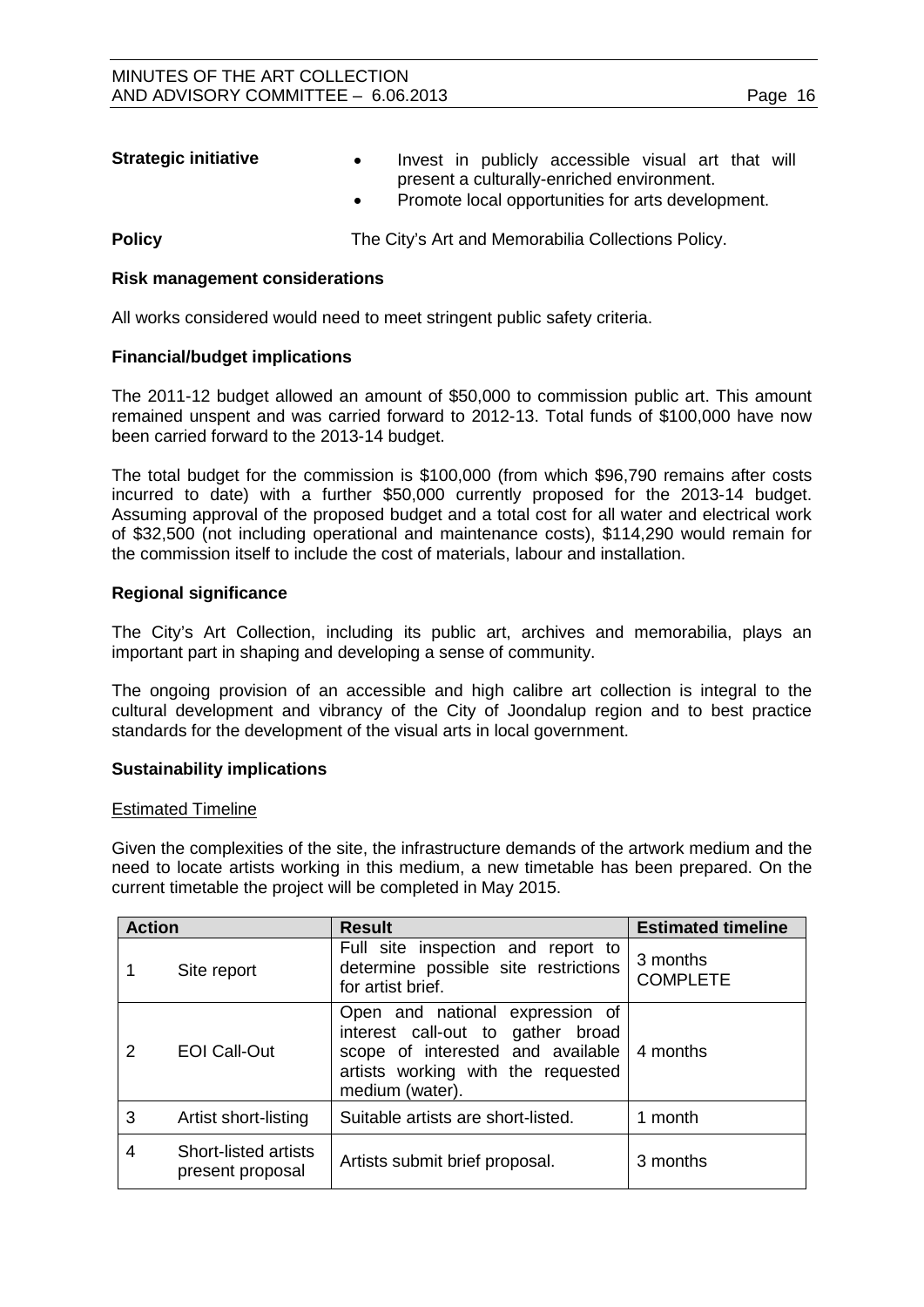| <b>Strategic initiative</b> | $\bullet$ |  | Invest in publicly accessible visual art that will |  |  |
|-----------------------------|-----------|--|----------------------------------------------------|--|--|
|                             |           |  | present a culturally-enriched environment.         |  |  |
|                             |           |  | Promote local opportunities for arts development.  |  |  |

**Policy The City's Art and Memorabilia Collections Policy.** 

#### **Risk management considerations**

All works considered would need to meet stringent public safety criteria.

#### **Financial/budget implications**

The 2011-12 budget allowed an amount of \$50,000 to commission public art. This amount remained unspent and was carried forward to 2012-13. Total funds of \$100,000 have now been carried forward to the 2013-14 budget.

The total budget for the commission is \$100,000 (from which \$96,790 remains after costs incurred to date) with a further \$50,000 currently proposed for the 2013-14 budget. Assuming approval of the proposed budget and a total cost for all water and electrical work of \$32,500 (not including operational and maintenance costs), \$114,290 would remain for the commission itself to include the cost of materials, labour and installation.

#### **Regional significance**

The City's Art Collection, including its public art, archives and memorabilia, plays an important part in shaping and developing a sense of community.

The ongoing provision of an accessible and high calibre art collection is integral to the cultural development and vibrancy of the City of Joondalup region and to best practice standards for the development of the visual arts in local government.

#### **Sustainability implications**

#### Estimated Timeline

Given the complexities of the site, the infrastructure demands of the artwork medium and the need to locate artists working in this medium, a new timetable has been prepared. On the current timetable the project will be completed in May 2015.

| <b>Action</b> |                                                 | <b>Result</b>                                                                                                                                                                 | <b>Estimated timeline</b>   |  |
|---------------|-------------------------------------------------|-------------------------------------------------------------------------------------------------------------------------------------------------------------------------------|-----------------------------|--|
|               | Site report                                     | Full site inspection and report to<br>determine possible site restrictions<br>for artist brief.                                                                               | 3 months<br><b>COMPLETE</b> |  |
| 2             | <b>EOI Call-Out</b>                             | Open and national expression of<br>interest call-out to gather broad<br>scope of interested and available   4 months<br>artists working with the requested<br>medium (water). |                             |  |
| 3             | Artist short-listing                            | Suitable artists are short-listed.                                                                                                                                            | 1 month                     |  |
| 4             | <b>Short-listed artists</b><br>present proposal | Artists submit brief proposal.                                                                                                                                                | 3 months                    |  |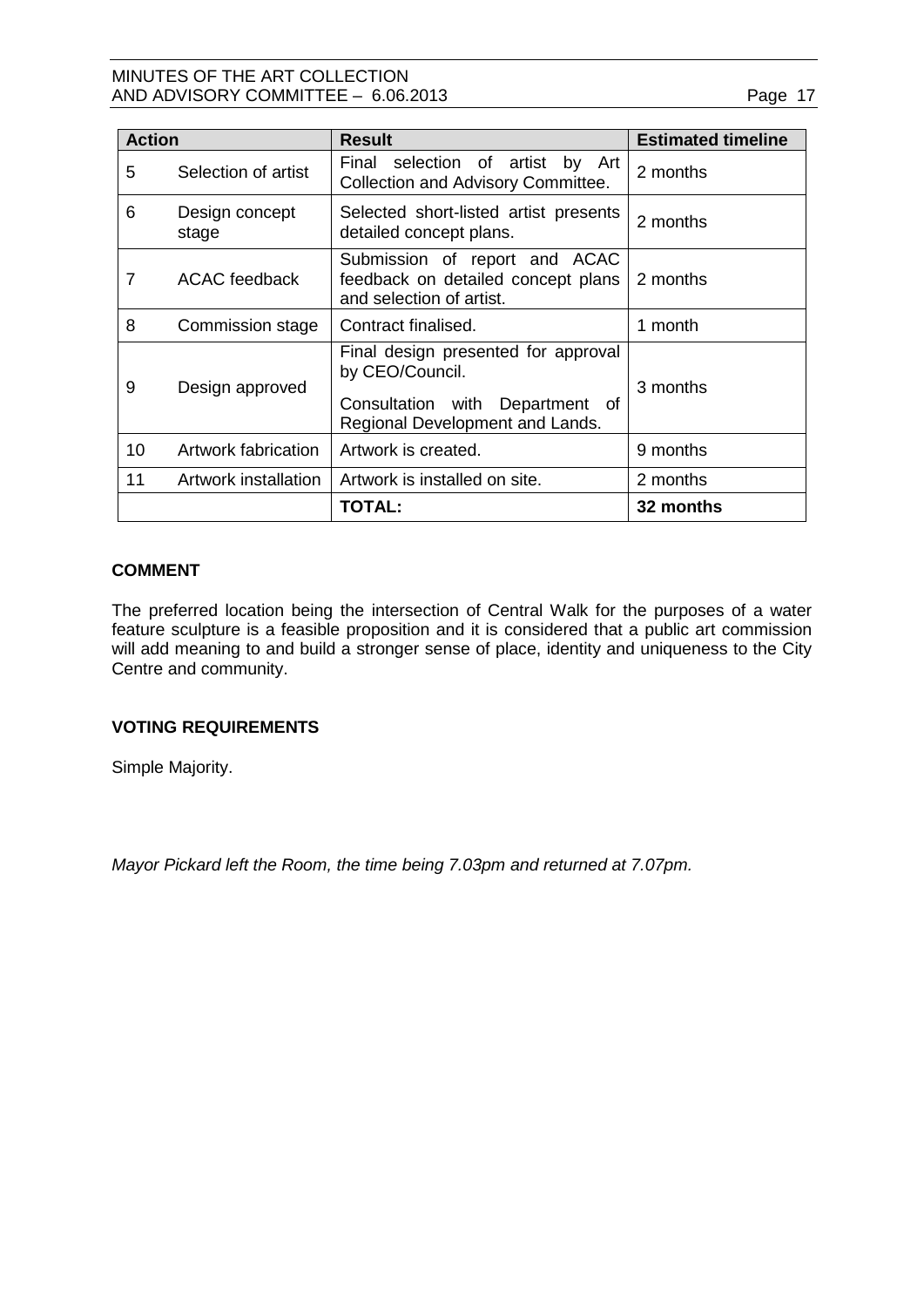# MINUTES OF THE ART COLLECTION AND ADVISORY COMMITTEE  $-6.06.2013$

| ane |  |  |
|-----|--|--|
|     |  |  |

| <b>Action</b> |                         | <b>Result</b>                                                                                                                      | <b>Estimated timeline</b> |  |
|---------------|-------------------------|------------------------------------------------------------------------------------------------------------------------------------|---------------------------|--|
| 5             | Selection of artist     | Final selection of artist by Art<br>Collection and Advisory Committee.                                                             | 2 months                  |  |
| 6             | Design concept<br>stage | Selected short-listed artist presents<br>detailed concept plans.                                                                   | 2 months                  |  |
| 7             | <b>ACAC</b> feedback    | Submission of report and ACAC<br>feedback on detailed concept plans<br>and selection of artist.                                    | 2 months                  |  |
| 8             | Commission stage        | Contract finalised.                                                                                                                | 1 month                   |  |
| 9             | Design approved         | Final design presented for approval<br>by CEO/Council.<br>Consultation with<br>Department<br>of<br>Regional Development and Lands. | 3 months                  |  |
| 10            | Artwork fabrication     | Artwork is created.                                                                                                                | 9 months                  |  |
| 11            | Artwork installation    | Artwork is installed on site.                                                                                                      | 2 months                  |  |
|               |                         | TOTAL:                                                                                                                             | 32 months                 |  |

# **COMMENT**

The preferred location being the intersection of Central Walk for the purposes of a water feature sculpture is a feasible proposition and it is considered that a public art commission will add meaning to and build a stronger sense of place, identity and uniqueness to the City Centre and community.

# **VOTING REQUIREMENTS**

Simple Majority.

*Mayor Pickard left the Room, the time being 7.03pm and returned at 7.07pm.*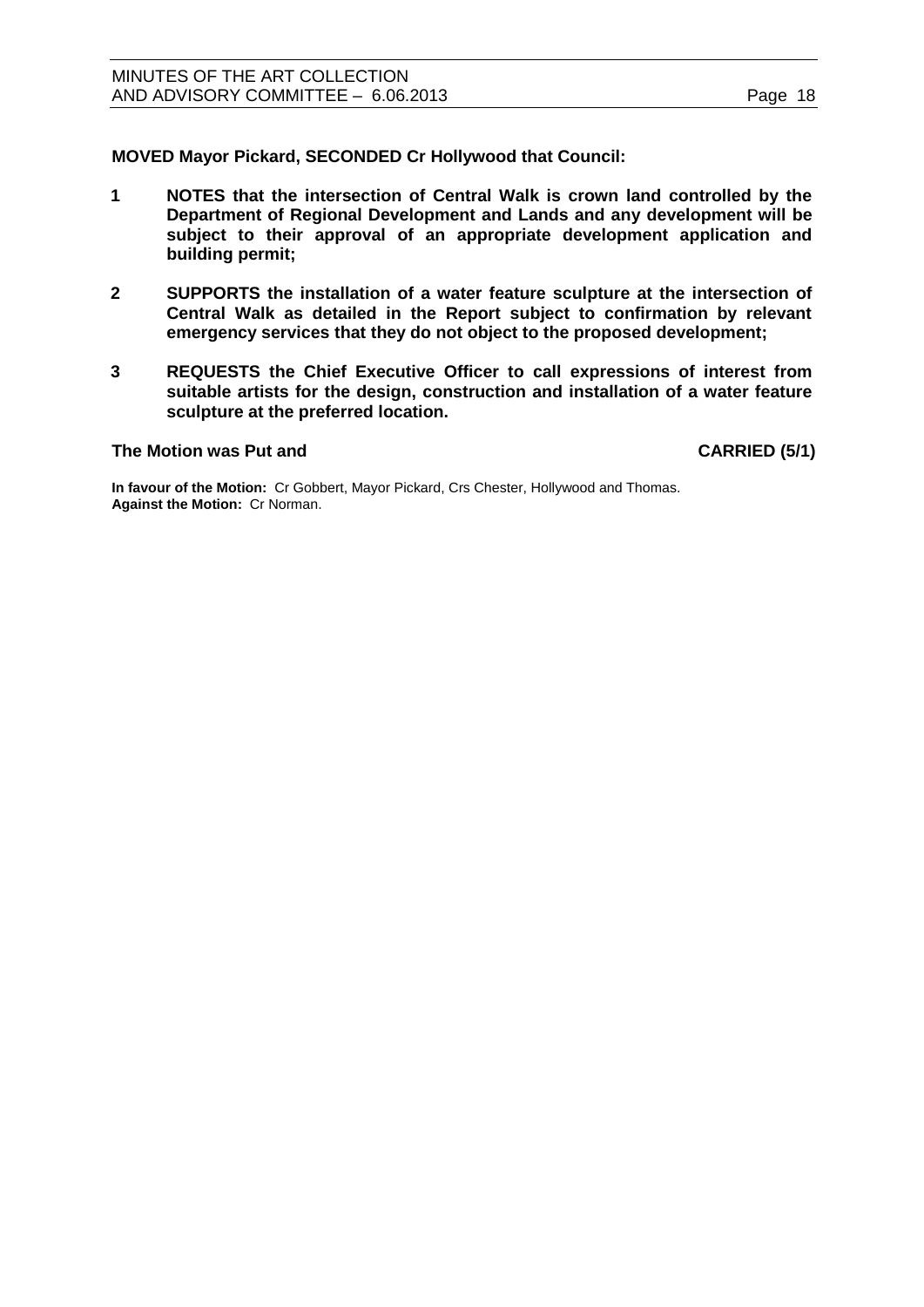**MOVED Mayor Pickard, SECONDED Cr Hollywood that Council:**

- **1 NOTES that the intersection of Central Walk is crown land controlled by the Department of Regional Development and Lands and any development will be subject to their approval of an appropriate development application and building permit;**
- **2 SUPPORTS the installation of a water feature sculpture at the intersection of Central Walk as detailed in the Report subject to confirmation by relevant emergency services that they do not object to the proposed development;**
- **3 REQUESTS the Chief Executive Officer to call expressions of interest from suitable artists for the design, construction and installation of a water feature sculpture at the preferred location.**

#### <span id="page-17-0"></span>**The Motion was Put and CARRIED (5/1)**

**In favour of the Motion:** Cr Gobbert, Mayor Pickard, Crs Chester, Hollywood and Thomas. **Against the Motion:** Cr Norman.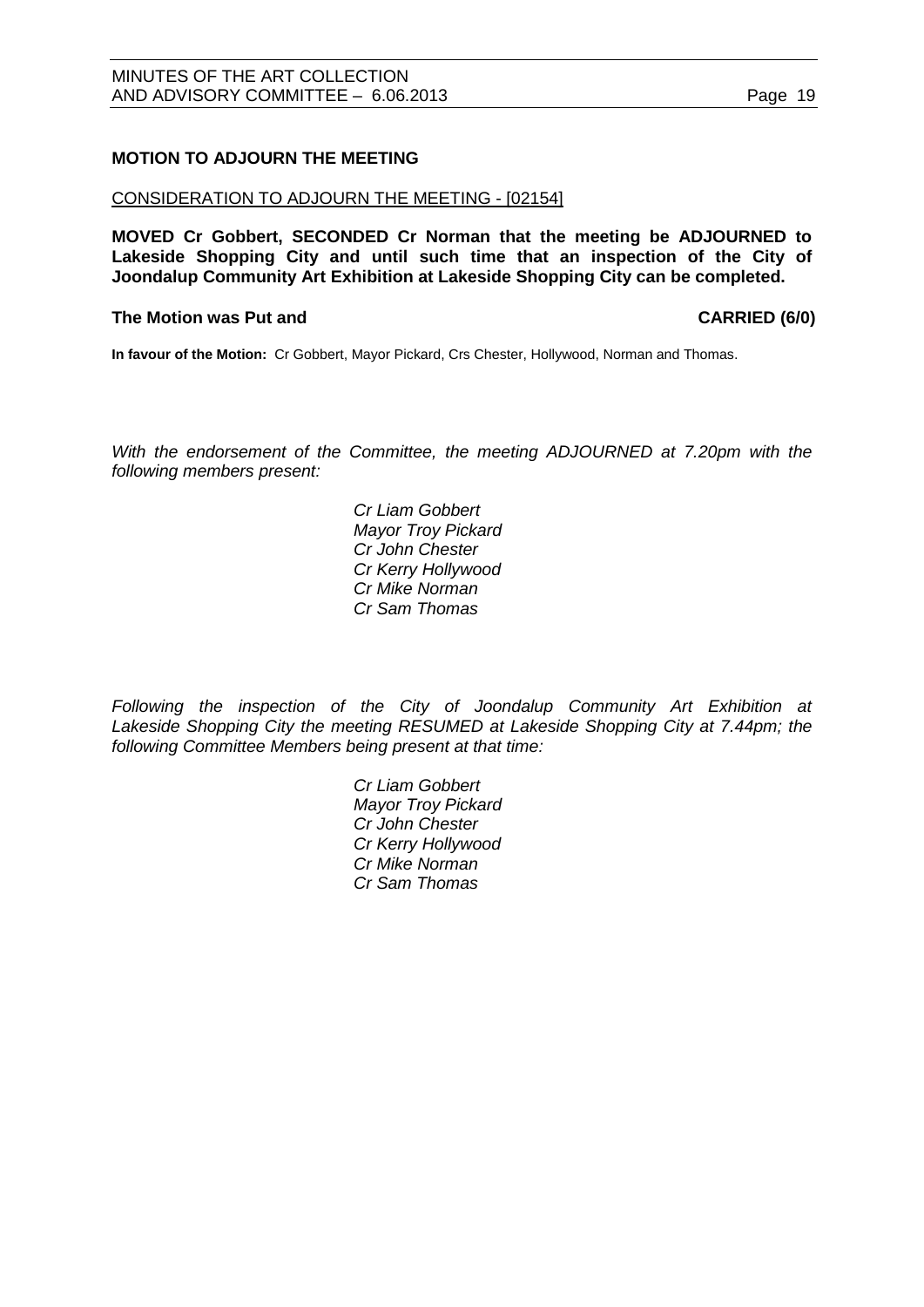#### <span id="page-18-0"></span>**MOTION TO ADJOURN THE MEETING**

#### CONSIDERATION TO ADJOURN THE MEETING - [02154]

**MOVED Cr Gobbert, SECONDED Cr Norman that the meeting be ADJOURNED to Lakeside Shopping City and until such time that an inspection of the City of Joondalup Community Art Exhibition at Lakeside Shopping City can be completed.** 

#### **The Motion was Put and CARRIED (6/0)**

**In favour of the Motion:** Cr Gobbert, Mayor Pickard, Crs Chester, Hollywood, Norman and Thomas.

*With the endorsement of the Committee, the meeting ADJOURNED at 7.20pm with the following members present:*

> *Cr Liam Gobbert Mayor Troy Pickard Cr John Chester Cr Kerry Hollywood Cr Mike Norman Cr Sam Thomas*

*Following the inspection of the City of Joondalup Community Art Exhibition at Lakeside Shopping City the meeting RESUMED at Lakeside Shopping City at 7.44pm; the following Committee Members being present at that time:*

> *Cr Liam Gobbert Mayor Troy Pickard Cr John Chester Cr Kerry Hollywood Cr Mike Norman Cr Sam Thomas*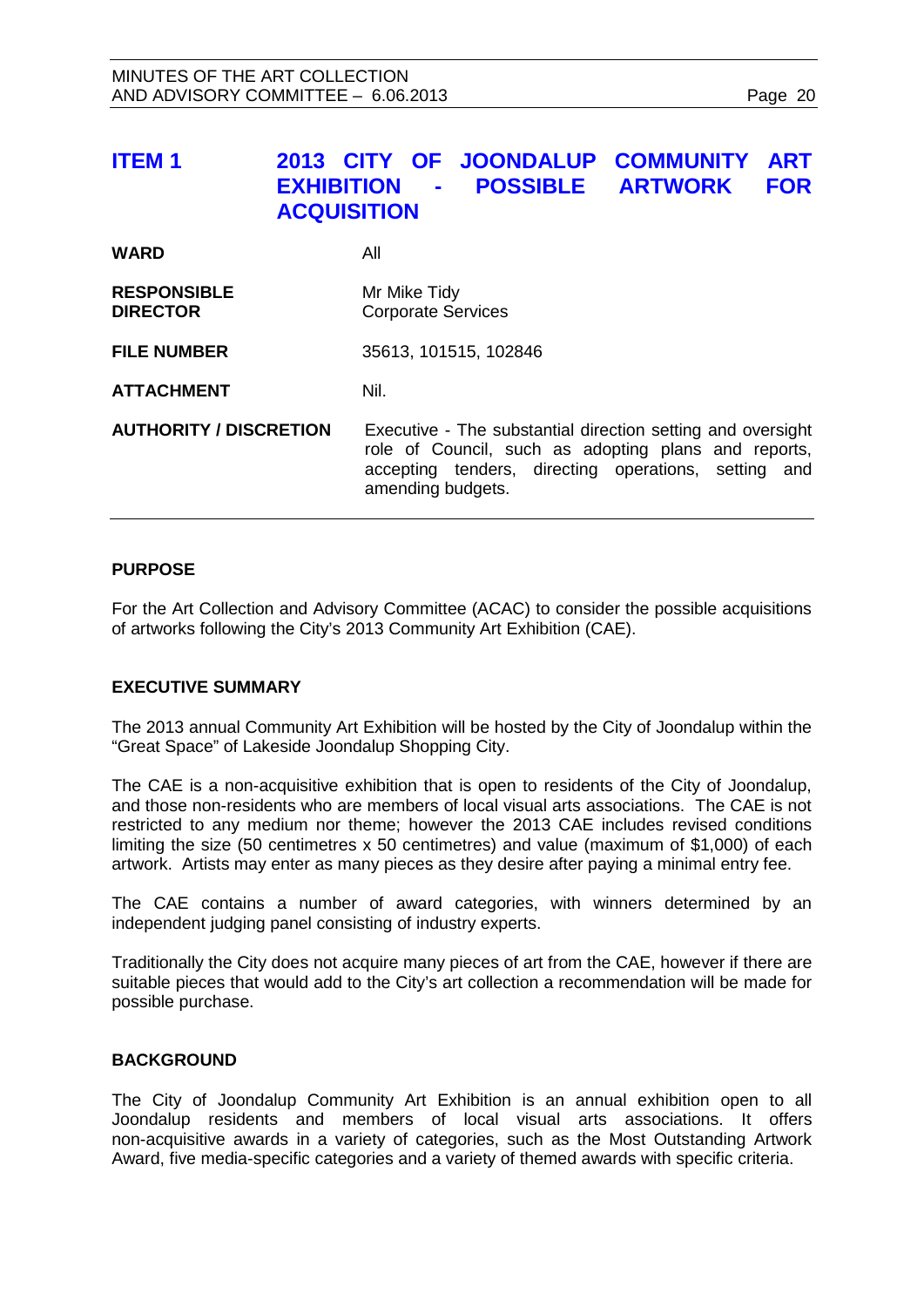<span id="page-19-0"></span>

| <b>ITEM1</b>                          | 2013 CITY OF JOONDALUP<br><b>COMMUNITY</b><br><b>ART</b><br><b>POSSIBLE ARTWORK</b><br><b>FOR</b><br><b>EXHIBITION</b><br>$\blacksquare$<br><b>ACQUISITION</b>              |
|---------------------------------------|-----------------------------------------------------------------------------------------------------------------------------------------------------------------------------|
| <b>WARD</b>                           | All                                                                                                                                                                         |
| <b>RESPONSIBLE</b><br><b>DIRECTOR</b> | Mr Mike Tidy<br><b>Corporate Services</b>                                                                                                                                   |
| <b>FILE NUMBER</b>                    | 35613, 101515, 102846                                                                                                                                                       |
| <b>ATTACHMENT</b>                     | Nil.                                                                                                                                                                        |
| <b>AUTHORITY / DISCRETION</b>         | Executive - The substantial direction setting and oversight<br>role of Council, such as adopting plans and reports,<br>accepting tenders, directing operations, setting and |

#### **PURPOSE**

For the Art Collection and Advisory Committee (ACAC) to consider the possible acquisitions of artworks following the City's 2013 Community Art Exhibition (CAE).

amending budgets.

#### **EXECUTIVE SUMMARY**

The 2013 annual Community Art Exhibition will be hosted by the City of Joondalup within the "Great Space" of Lakeside Joondalup Shopping City.

The CAE is a non-acquisitive exhibition that is open to residents of the City of Joondalup, and those non-residents who are members of local visual arts associations. The CAE is not restricted to any medium nor theme; however the 2013 CAE includes revised conditions limiting the size (50 centimetres x 50 centimetres) and value (maximum of \$1,000) of each artwork. Artists may enter as many pieces as they desire after paying a minimal entry fee.

The CAE contains a number of award categories, with winners determined by an independent judging panel consisting of industry experts.

Traditionally the City does not acquire many pieces of art from the CAE, however if there are suitable pieces that would add to the City's art collection a recommendation will be made for possible purchase.

#### **BACKGROUND**

The City of Joondalup Community Art Exhibition is an annual exhibition open to all Joondalup residents and members of local visual arts associations. It offers non-acquisitive awards in a variety of categories, such as the Most Outstanding Artwork Award, five media-specific categories and a variety of themed awards with specific criteria.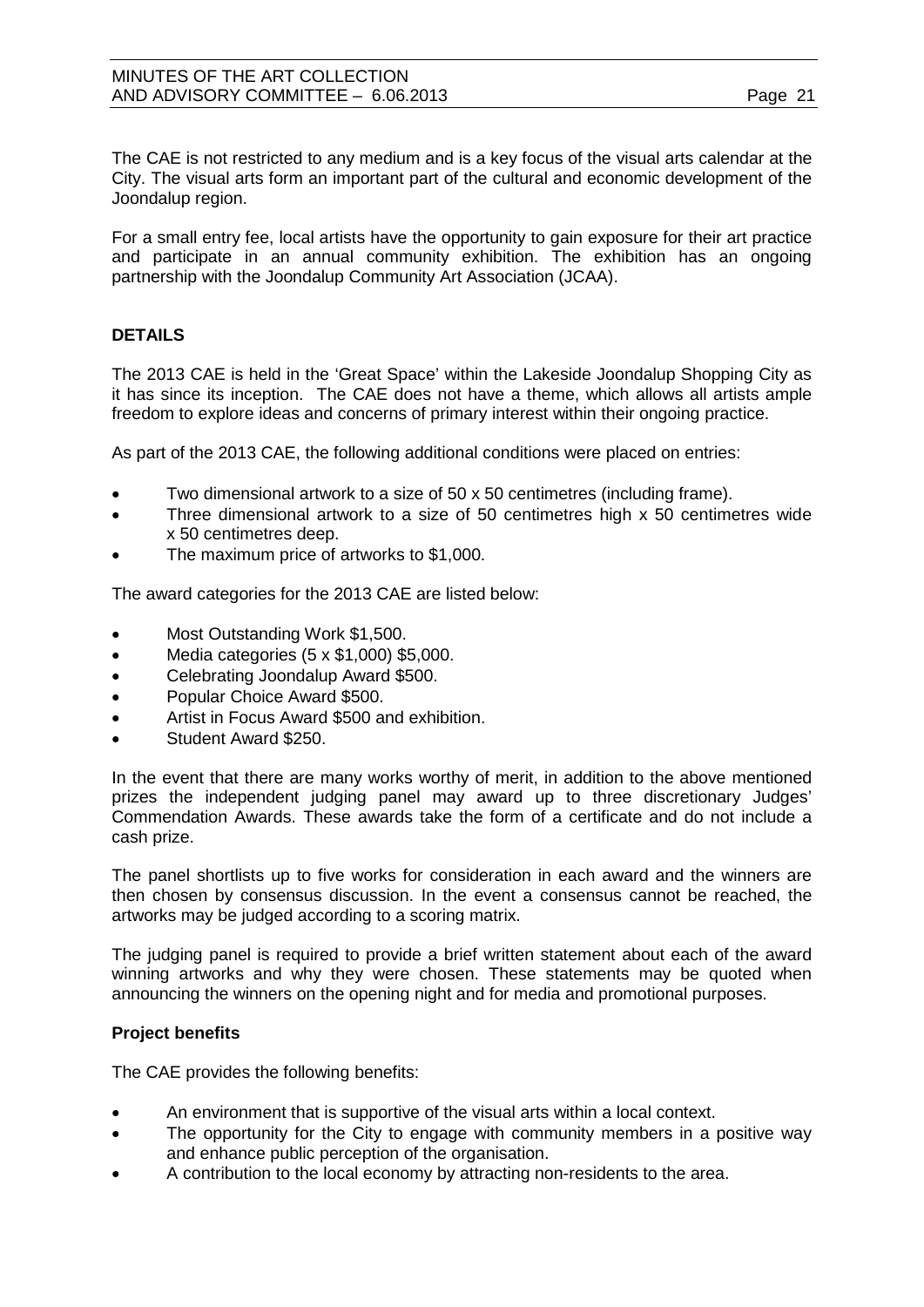The CAE is not restricted to any medium and is a key focus of the visual arts calendar at the City. The visual arts form an important part of the cultural and economic development of the Joondalup region.

For a small entry fee, local artists have the opportunity to gain exposure for their art practice and participate in an annual community exhibition. The exhibition has an ongoing partnership with the Joondalup Community Art Association (JCAA).

# **DETAILS**

The 2013 CAE is held in the 'Great Space' within the Lakeside Joondalup Shopping City as it has since its inception. The CAE does not have a theme, which allows all artists ample freedom to explore ideas and concerns of primary interest within their ongoing practice.

As part of the 2013 CAE, the following additional conditions were placed on entries:

- Two dimensional artwork to a size of 50 x 50 centimetres (including frame).
- Three dimensional artwork to a size of 50 centimetres high x 50 centimetres wide x 50 centimetres deep.
- The maximum price of artworks to \$1,000.

The award categories for the 2013 CAE are listed below:

- Most Outstanding Work \$1,500.
- Media categories (5 x \$1,000) \$5,000.
- Celebrating Joondalup Award \$500.
- Popular Choice Award \$500.
- Artist in Focus Award \$500 and exhibition.
- Student Award \$250.

In the event that there are many works worthy of merit, in addition to the above mentioned prizes the independent judging panel may award up to three discretionary Judges' Commendation Awards. These awards take the form of a certificate and do not include a cash prize.

The panel shortlists up to five works for consideration in each award and the winners are then chosen by consensus discussion. In the event a consensus cannot be reached, the artworks may be judged according to a scoring matrix.

The judging panel is required to provide a brief written statement about each of the award winning artworks and why they were chosen. These statements may be quoted when announcing the winners on the opening night and for media and promotional purposes.

# **Project benefits**

The CAE provides the following benefits:

- An environment that is supportive of the visual arts within a local context.
- The opportunity for the City to engage with community members in a positive way and enhance public perception of the organisation.
- A contribution to the local economy by attracting non-residents to the area.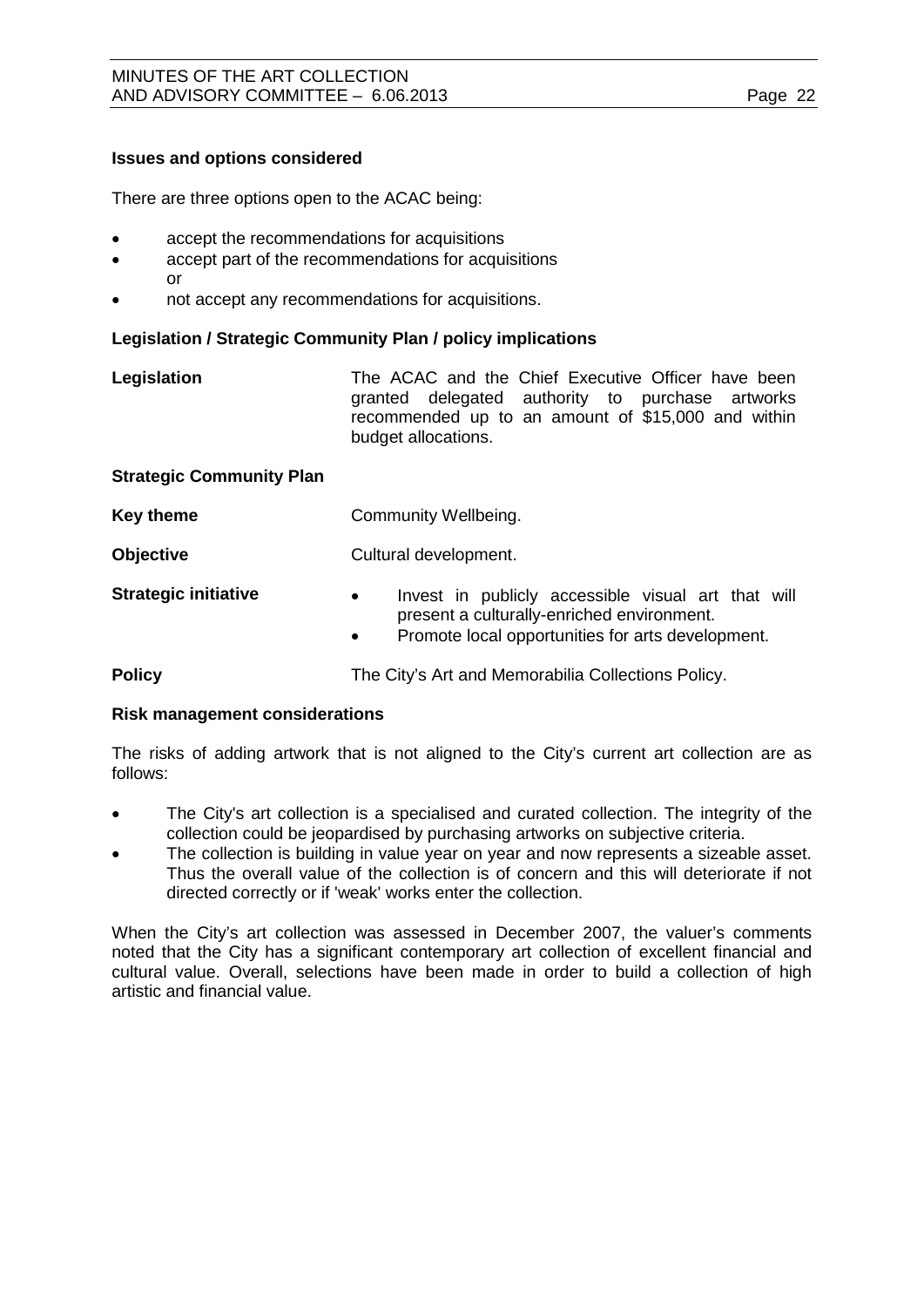#### **Issues and options considered**

There are three options open to the ACAC being:

- accept the recommendations for acquisitions
- accept part of the recommendations for acquisitions or
- not accept any recommendations for acquisitions.

#### **Legislation / Strategic Community Plan / policy implications**

| Legislation                     | The ACAC and the Chief Executive Officer have been<br>granted delegated authority to purchase artworks<br>recommended up to an amount of \$15,000 and within<br>budget allocations. |
|---------------------------------|-------------------------------------------------------------------------------------------------------------------------------------------------------------------------------------|
| <b>Strategic Community Plan</b> |                                                                                                                                                                                     |
| <b>Key theme</b>                | Community Wellbeing.                                                                                                                                                                |
| <b>Objective</b>                | Cultural development.                                                                                                                                                               |
| <b>Strategic initiative</b>     | Invest in publicly accessible visual art that will<br>$\bullet$<br>present a culturally-enriched environment.<br>Promote local opportunities for arts development                   |

• Promote local opportunities for arts development.

**Policy The City's Art and Memorabilia Collections Policy.** 

#### **Risk management considerations**

The risks of adding artwork that is not aligned to the City's current art collection are as follows:

- The City's art collection is a specialised and curated collection. The integrity of the collection could be jeopardised by purchasing artworks on subjective criteria.
- The collection is building in value year on year and now represents a sizeable asset. Thus the overall value of the collection is of concern and this will deteriorate if not directed correctly or if 'weak' works enter the collection.

When the City's art collection was assessed in December 2007, the valuer's comments noted that the City has a significant contemporary art collection of excellent financial and cultural value. Overall, selections have been made in order to build a collection of high artistic and financial value.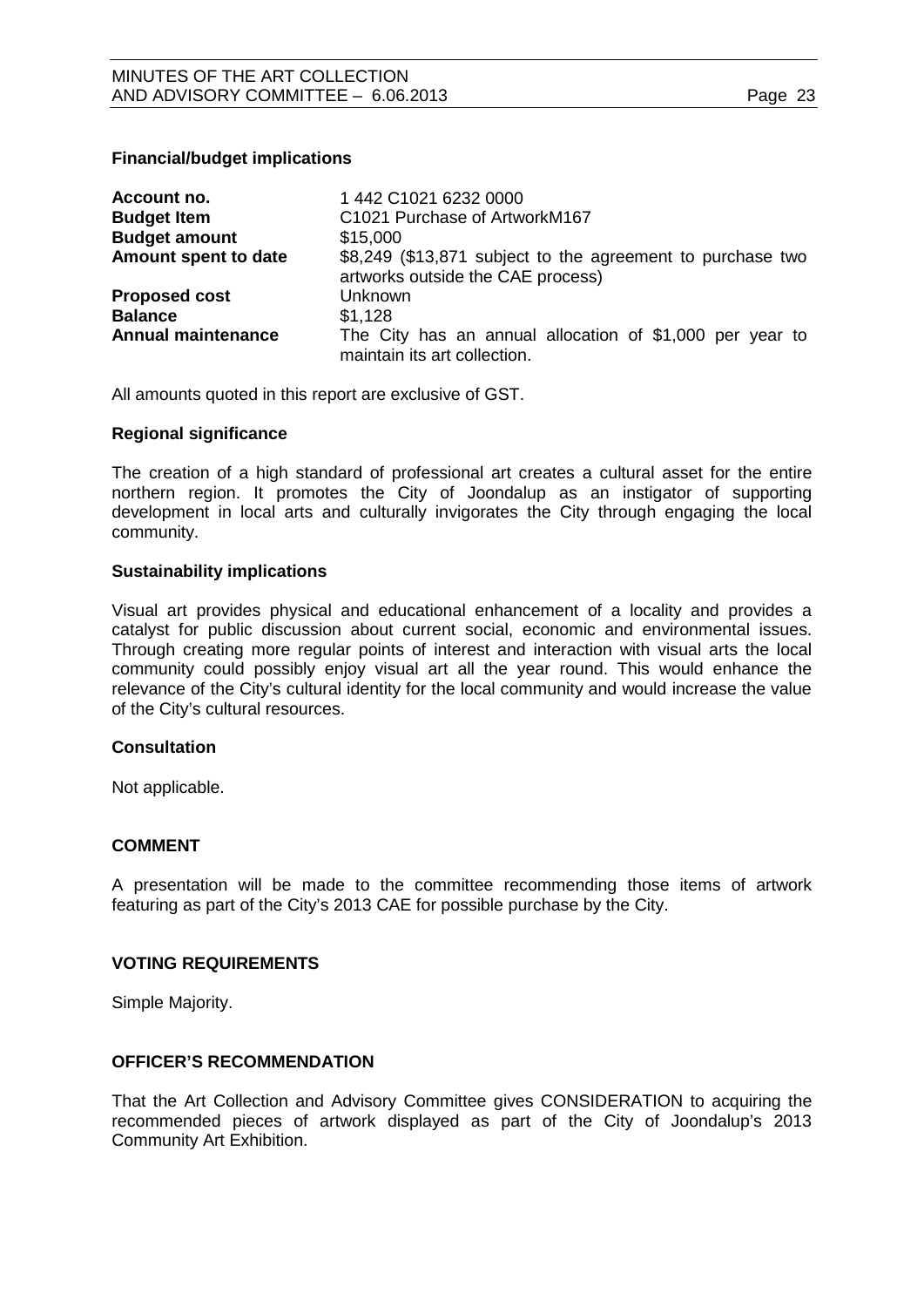#### **Financial/budget implications**

| Account no.               | 1 442 C1021 6232 0000                                                                           |
|---------------------------|-------------------------------------------------------------------------------------------------|
| <b>Budget Item</b>        | C1021 Purchase of ArtworkM167                                                                   |
| <b>Budget amount</b>      | \$15,000                                                                                        |
| Amount spent to date      | \$8,249 (\$13,871 subject to the agreement to purchase two<br>artworks outside the CAE process) |
| <b>Proposed cost</b>      | Unknown                                                                                         |
| <b>Balance</b>            | \$1,128                                                                                         |
| <b>Annual maintenance</b> | The City has an annual allocation of \$1,000 per year to<br>maintain its art collection.        |

All amounts quoted in this report are exclusive of GST.

#### **Regional significance**

The creation of a high standard of professional art creates a cultural asset for the entire northern region. It promotes the City of Joondalup as an instigator of supporting development in local arts and culturally invigorates the City through engaging the local community.

#### **Sustainability implications**

Visual art provides physical and educational enhancement of a locality and provides a catalyst for public discussion about current social, economic and environmental issues. Through creating more regular points of interest and interaction with visual arts the local community could possibly enjoy visual art all the year round. This would enhance the relevance of the City's cultural identity for the local community and would increase the value of the City's cultural resources.

#### **Consultation**

Not applicable.

#### **COMMENT**

A presentation will be made to the committee recommending those items of artwork featuring as part of the City's 2013 CAE for possible purchase by the City.

#### **VOTING REQUIREMENTS**

Simple Majority.

# **OFFICER'S RECOMMENDATION**

That the Art Collection and Advisory Committee gives CONSIDERATION to acquiring the recommended pieces of artwork displayed as part of the City of Joondalup's 2013 Community Art Exhibition.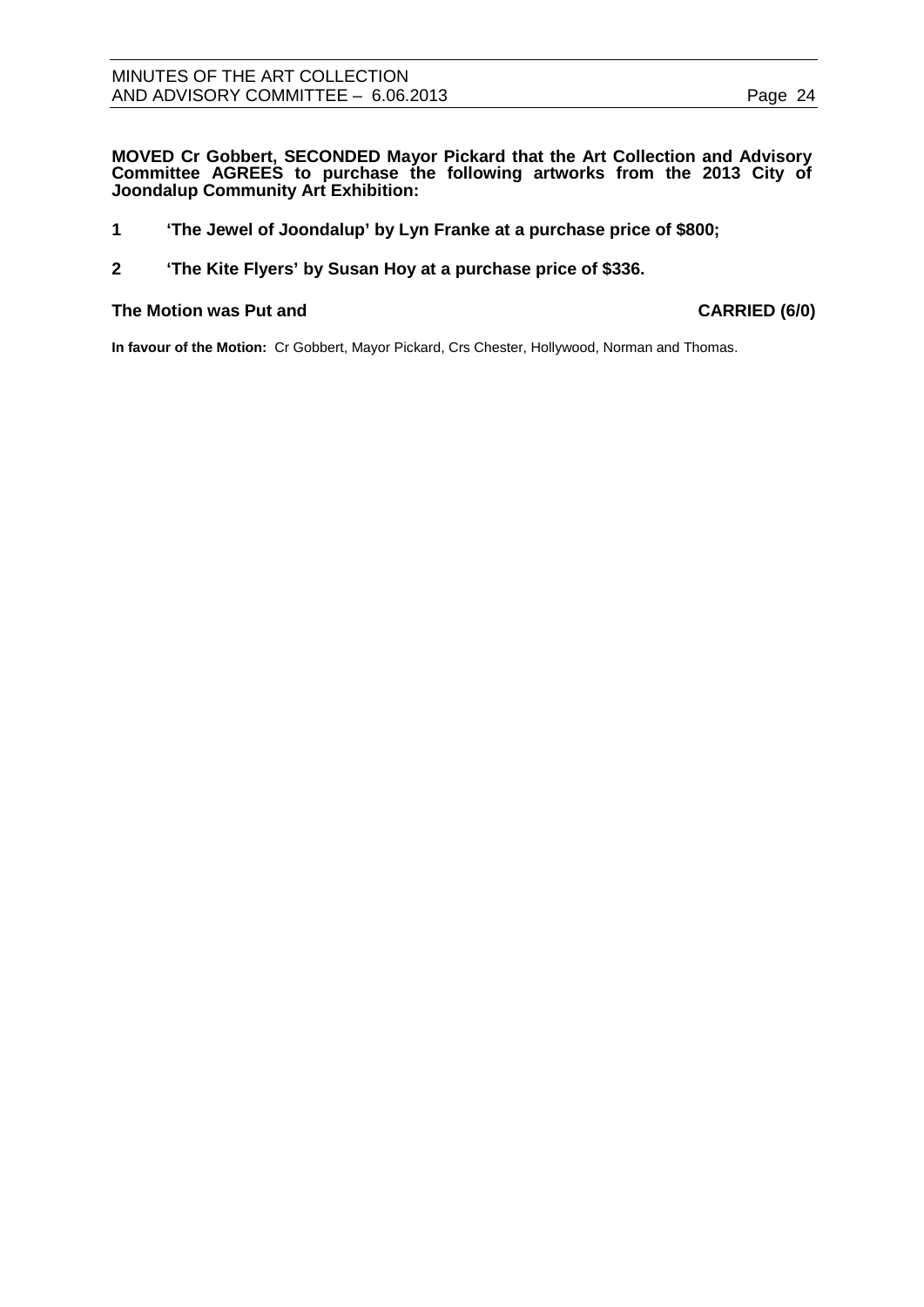**MOVED Cr Gobbert, SECONDED Mayor Pickard that the Art Collection and Advisory Committee AGREES to purchase the following artworks from the 2013 City of Joondalup Community Art Exhibition:**

- **1 'The Jewel of Joondalup' by Lyn Franke at a purchase price of \$800;**
- **2 'The Kite Flyers' by Susan Hoy at a purchase price of \$336.**

#### **The Motion was Put and CARRIED (6/0)**

**In favour of the Motion:** Cr Gobbert, Mayor Pickard, Crs Chester, Hollywood, Norman and Thomas.